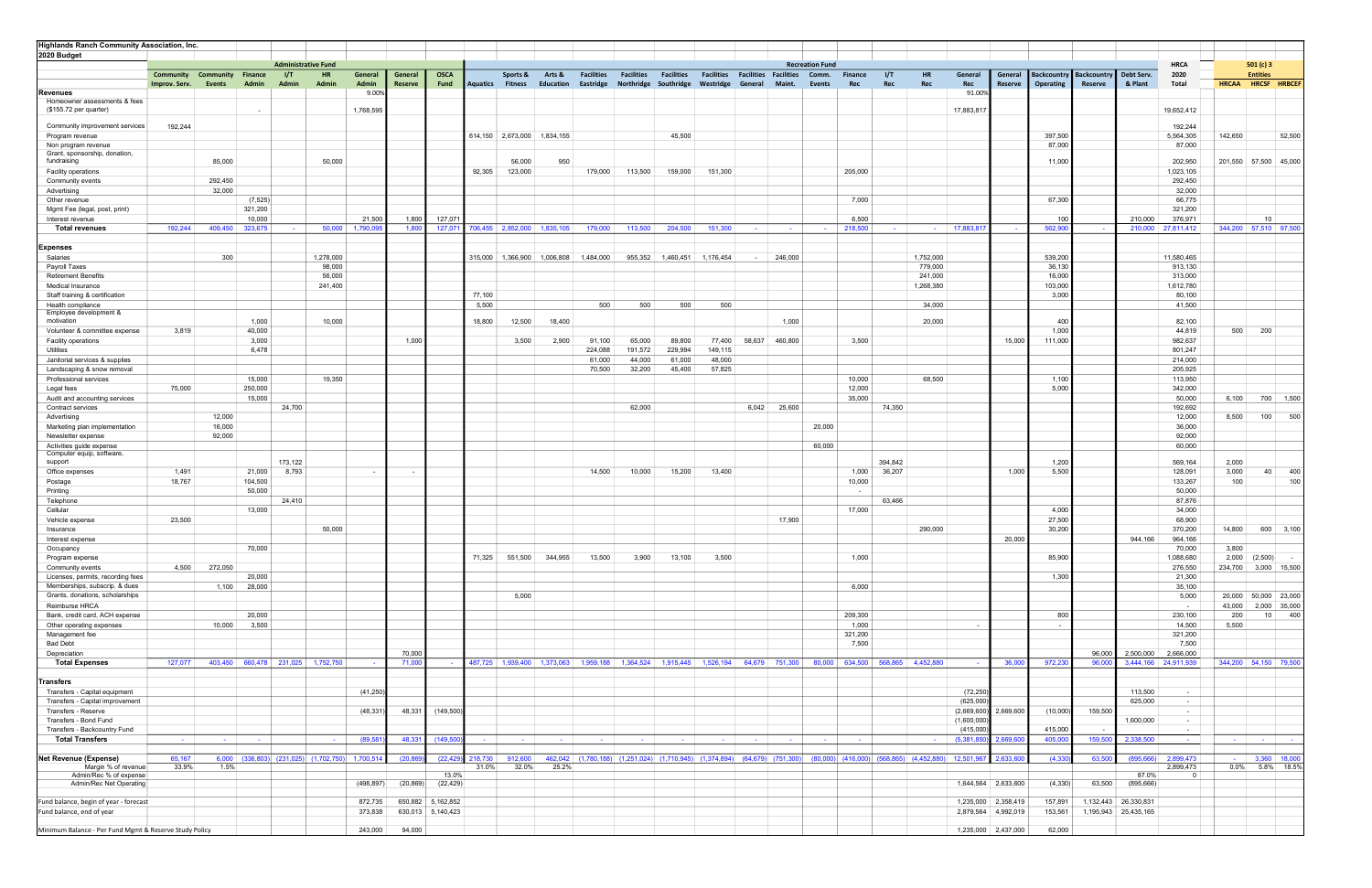| Highlands Ranch Community Association, Inc.                        |                          |                          |                                                  |                                   |           |            |                          |                    |                  |                          |                                 |                   |                          |                                                                            |                   |                   |                   |                                 |                |                                                                                                                     |                          |                     |                   |                 |                      |                                   |                          |                                |
|--------------------------------------------------------------------|--------------------------|--------------------------|--------------------------------------------------|-----------------------------------|-----------|------------|--------------------------|--------------------|------------------|--------------------------|---------------------------------|-------------------|--------------------------|----------------------------------------------------------------------------|-------------------|-------------------|-------------------|---------------------------------|----------------|---------------------------------------------------------------------------------------------------------------------|--------------------------|---------------------|-------------------|-----------------|----------------------|-----------------------------------|--------------------------|--------------------------------|
| 2020 Budget                                                        |                          |                          |                                                  |                                   |           |            |                          |                    |                  |                          |                                 |                   |                          |                                                                            |                   |                   |                   |                                 |                |                                                                                                                     |                          |                     |                   |                 |                      |                                   |                          |                                |
|                                                                    | Community                | <b>Community Finance</b> |                                                  | <b>Administrative Fund</b><br>1/T | <b>HR</b> | General    | General                  | <b>OSCA</b>        |                  | Sports &                 | Arts &                          | <b>Facilities</b> | <b>Facilities</b>        | <b>Facilities</b>                                                          | <b>Facilities</b> | <b>Facilities</b> | <b>Facilities</b> | <b>Recreation Fund</b><br>Comm. | <b>Finance</b> | 1/T<br><b>HR</b>                                                                                                    | General                  | General             | Backcountry       | Backcountry     | Debt Serv.           | <b>HRCA</b><br>2020               |                          | 501 $(c)$ 3<br><b>Entities</b> |
|                                                                    | Improv. Serv.            | <b>Events</b>            | Admin                                            | Admin                             | Admin     | Admin      | Reserve                  | Fund               | Aquatics Fitness |                          | Education                       | Eastridge         | Northridge               | Southridge Westridge                                                       |                   | General           | Maint.            | Events                          | Rec            | Rec<br>Rec                                                                                                          | Rec                      | Reserve             | Operating         | Reserve         | & Plant              | Total                             | <b>HRCAA</b>             | HRCSF HRBCEF                   |
| Revenues                                                           |                          |                          |                                                  |                                   |           | 9.00%      |                          |                    |                  |                          |                                 |                   |                          |                                                                            |                   |                   |                   |                                 |                |                                                                                                                     | 91.009                   |                     |                   |                 |                      |                                   |                          |                                |
| Homeowner assessments & fees                                       |                          |                          |                                                  |                                   |           |            |                          |                    |                  |                          |                                 |                   |                          |                                                                            |                   |                   |                   |                                 |                |                                                                                                                     |                          |                     |                   |                 |                      |                                   |                          |                                |
| (\$155.72 per quarter)                                             |                          |                          |                                                  |                                   |           | 1,768,595  |                          |                    |                  |                          |                                 |                   |                          |                                                                            |                   |                   |                   |                                 |                |                                                                                                                     | 17,883,81                |                     |                   |                 |                      | 19,652,412                        |                          |                                |
| Community improvement services                                     | 192,244                  |                          |                                                  |                                   |           |            |                          |                    |                  |                          |                                 |                   |                          |                                                                            |                   |                   |                   |                                 |                |                                                                                                                     |                          |                     |                   |                 |                      | 192,244                           |                          |                                |
| Program revenue                                                    |                          |                          |                                                  |                                   |           |            |                          |                    |                  |                          | 614,150 2,673,000 1,834,155     |                   |                          | 45,500                                                                     |                   |                   |                   |                                 |                |                                                                                                                     |                          |                     | 397,500           |                 |                      | 5,564,305                         | 142,650                  | 52,500                         |
| Non program revenue                                                |                          |                          |                                                  |                                   |           |            |                          |                    |                  |                          |                                 |                   |                          |                                                                            |                   |                   |                   |                                 |                |                                                                                                                     |                          |                     | 87,000            |                 |                      | 87,000                            |                          |                                |
| Grant, sponsorship, donation,<br>fundraising                       |                          | 85,000                   |                                                  |                                   | 50,000    |            |                          |                    |                  | 56,000                   | 950                             |                   |                          |                                                                            |                   |                   |                   |                                 |                |                                                                                                                     |                          |                     | 11,000            |                 |                      | 202,950                           |                          | 201,550 57,500 45,000          |
| Facility operations                                                |                          |                          |                                                  |                                   |           |            |                          |                    | 92,305           | 123,000                  |                                 | 179,000           | 113,500                  | 159,000                                                                    | 151,300           |                   |                   |                                 | 205,000        |                                                                                                                     |                          |                     |                   |                 |                      | 1,023,105                         |                          |                                |
| Community events                                                   |                          | 292,450                  |                                                  |                                   |           |            |                          |                    |                  |                          |                                 |                   |                          |                                                                            |                   |                   |                   |                                 |                |                                                                                                                     |                          |                     |                   |                 |                      | 292,450                           |                          |                                |
| Advertising                                                        |                          | 32,000                   |                                                  |                                   |           |            |                          |                    |                  |                          |                                 |                   |                          |                                                                            |                   |                   |                   |                                 |                |                                                                                                                     |                          |                     |                   |                 |                      | 32,000                            |                          |                                |
| Other revenue                                                      |                          |                          | (7, 525)                                         |                                   |           |            |                          |                    |                  |                          |                                 |                   |                          |                                                                            |                   |                   |                   |                                 | 7,000          |                                                                                                                     |                          |                     | 67,300            |                 |                      | 66,775                            |                          |                                |
| Mgmt Fee (legal, post, print)                                      |                          |                          | 321,200                                          |                                   |           |            |                          |                    |                  |                          |                                 |                   |                          |                                                                            |                   |                   |                   |                                 |                |                                                                                                                     |                          |                     |                   |                 |                      | 321,200                           |                          |                                |
| Interest revenue                                                   |                          |                          | 10,000                                           |                                   |           | 21,500     | 1,800                    | 127,071            |                  |                          |                                 |                   |                          |                                                                            |                   |                   |                   |                                 | 6,500          |                                                                                                                     |                          |                     | 100               |                 | 210,000              | 376,971                           |                          | 10                             |
| <b>Total revenues</b>                                              | 192,244                  | 409,450                  | 323,675                                          | <b>Service</b>                    | 50,000    | 1,790,09   | 1,800                    | 127,071            |                  |                          | 706,455   2,852,000   1,835,105 | 179,000           | 113,500                  | 204,500                                                                    | 151,300           | <b>Contract</b>   | $\sim 100$        | $\sim$                          | 218,500        | <b>Contract Contract</b><br>$\sim$                                                                                  | 17,883,81                |                     | 562,90            |                 | 210,000              | 27,811,412                        |                          | 344,200 57,510 97,500          |
| Expenses                                                           |                          |                          |                                                  |                                   |           |            |                          |                    |                  |                          |                                 |                   |                          |                                                                            |                   |                   |                   |                                 |                |                                                                                                                     |                          |                     |                   |                 |                      |                                   |                          |                                |
| Salaries                                                           |                          | 300                      |                                                  |                                   | 1,278,000 |            |                          |                    |                  |                          | 315,000 1,366,900 1,006,808     | 1,484,000         | 955,352                  | 1,460,451                                                                  | 1,176,454         | $\sim$            | 246,000           |                                 |                | 1,752,000                                                                                                           |                          |                     | 539,200           |                 |                      | 11,580,465                        |                          |                                |
| Payroll Taxes                                                      |                          |                          |                                                  |                                   | 98,000    |            |                          |                    |                  |                          |                                 |                   |                          |                                                                            |                   |                   |                   |                                 |                | 779,000                                                                                                             |                          |                     | 36,130            |                 |                      | 913,130                           |                          |                                |
| <b>Retirement Benefits</b>                                         |                          |                          |                                                  |                                   | 56,000    |            |                          |                    |                  |                          |                                 |                   |                          |                                                                            |                   |                   |                   |                                 |                | 241,000                                                                                                             |                          |                     | 16,000            |                 |                      | 313,000                           |                          |                                |
| Medical Insurance                                                  |                          |                          |                                                  |                                   | 241,400   |            |                          |                    |                  |                          |                                 |                   |                          |                                                                            |                   |                   |                   |                                 |                | 1,268,380                                                                                                           |                          |                     | 103,000           |                 |                      | 1,612,780                         |                          |                                |
| Staff training & certification                                     |                          |                          |                                                  |                                   |           |            |                          |                    | 77,100           |                          |                                 |                   |                          |                                                                            |                   |                   |                   |                                 |                |                                                                                                                     |                          |                     | 3,000             |                 |                      | 80,100                            |                          |                                |
| Health compliance<br>Employee development &                        |                          |                          |                                                  |                                   |           |            |                          |                    | 5,500            |                          |                                 | 500               | 500                      | 500                                                                        | 500               |                   |                   |                                 |                | 34,000                                                                                                              |                          |                     |                   |                 |                      | 41,500                            |                          |                                |
| motivation                                                         |                          |                          | 1,000                                            |                                   | 10,000    |            |                          |                    | 18,800           | 12,500                   | 18,400                          |                   |                          |                                                                            |                   |                   | 1,000             |                                 |                | 20,000                                                                                                              |                          |                     | 400               |                 |                      | 82,100                            |                          |                                |
| Volunteer & committee expense                                      | 3,819                    |                          | 40,000                                           |                                   |           |            |                          |                    |                  |                          |                                 |                   |                          |                                                                            |                   |                   |                   |                                 |                |                                                                                                                     |                          |                     | 1,000             |                 |                      | 44,819                            | 500                      | 200                            |
| Facility operations                                                |                          |                          | 3,000                                            |                                   |           |            | 1,000                    |                    |                  | 3,500                    | 2,900                           | 91,100            | 65,000                   | 89,800                                                                     | 77,400            | 58,637            | 460,800           |                                 | 3,500          |                                                                                                                     |                          | 15,000              | 111,000           |                 |                      | 982,637                           |                          |                                |
| Utilities                                                          |                          |                          | 6,478                                            |                                   |           |            |                          |                    |                  |                          |                                 | 224,088           | 191,572                  | 229,994                                                                    | 149,115           |                   |                   |                                 |                |                                                                                                                     |                          |                     |                   |                 |                      | 801,247                           |                          |                                |
| Janitorial services & supplies                                     |                          |                          |                                                  |                                   |           |            |                          |                    |                  |                          |                                 | 61,000            | 44,000                   | 61,000                                                                     | 48,000            |                   |                   |                                 |                |                                                                                                                     |                          |                     |                   |                 |                      | 214,000                           |                          |                                |
| Landscaping & snow removal<br>Professional services                |                          |                          | 15,000                                           |                                   | 19,350    |            |                          |                    |                  |                          |                                 | 70,500            | 32,200                   | 45,400                                                                     | 57,825            |                   |                   |                                 | 10,000         | 68,500                                                                                                              |                          |                     | 1,100             |                 |                      | 205,925<br>113,950                |                          |                                |
| Legal fees                                                         | 75,000                   |                          | 250,000                                          |                                   |           |            |                          |                    |                  |                          |                                 |                   |                          |                                                                            |                   |                   |                   |                                 | 12,000         |                                                                                                                     |                          |                     | 5,000             |                 |                      | 342,000                           |                          |                                |
| Audit and accounting services                                      |                          |                          | 15,000                                           |                                   |           |            |                          |                    |                  |                          |                                 |                   |                          |                                                                            |                   |                   |                   |                                 | 35,000         |                                                                                                                     |                          |                     |                   |                 |                      | 50,000                            | 6,100                    | 700 1,500                      |
| Contract services                                                  |                          |                          |                                                  | 24,700                            |           |            |                          |                    |                  |                          |                                 |                   | 62,000                   |                                                                            |                   | 6,042             | 25,600            |                                 |                | 74,350                                                                                                              |                          |                     |                   |                 |                      | 192,692                           |                          |                                |
| Advertising                                                        |                          | 12,000                   |                                                  |                                   |           |            |                          |                    |                  |                          |                                 |                   |                          |                                                                            |                   |                   |                   |                                 |                |                                                                                                                     |                          |                     |                   |                 |                      | 12,000                            | 8,500                    | 500<br>100                     |
| Marketing plan implementation                                      |                          | 16,000                   |                                                  |                                   |           |            |                          |                    |                  |                          |                                 |                   |                          |                                                                            |                   |                   |                   | 20,000                          |                |                                                                                                                     |                          |                     |                   |                 |                      | 36,000                            |                          |                                |
| Newsletter expense                                                 |                          | 92,000                   |                                                  |                                   |           |            |                          |                    |                  |                          |                                 |                   |                          |                                                                            |                   |                   |                   |                                 |                |                                                                                                                     |                          |                     |                   |                 |                      | 92,000                            |                          |                                |
| Activities guide expense<br>Computer equip, software               |                          |                          |                                                  |                                   |           |            |                          |                    |                  |                          |                                 |                   |                          |                                                                            |                   |                   |                   | 60,000                          |                |                                                                                                                     |                          |                     |                   |                 |                      | 60,000                            |                          |                                |
| support                                                            |                          |                          |                                                  | 173,122                           |           |            |                          |                    |                  |                          |                                 |                   |                          |                                                                            |                   |                   |                   |                                 |                | 394,842                                                                                                             |                          |                     | 1,200             |                 |                      | 569,164                           | 2,000                    |                                |
| Office expenses                                                    | 1,491                    |                          | 21,000                                           | 8,793                             |           | $\sim$     | $\overline{\phantom{a}}$ |                    |                  |                          |                                 | 14,500            | 10,000                   | 15,200                                                                     | 13,400            |                   |                   |                                 | 1,000          | 36,207                                                                                                              |                          | 1,000               | 5,500             |                 |                      | 128,091                           | 3,000                    | 40<br>400                      |
| Postage                                                            | 18,767                   |                          | 104,500                                          |                                   |           |            |                          |                    |                  |                          |                                 |                   |                          |                                                                            |                   |                   |                   |                                 | 10,000         |                                                                                                                     |                          |                     |                   |                 |                      | 133,267                           | 100                      | 100                            |
| Printing                                                           |                          |                          | 50,000                                           |                                   |           |            |                          |                    |                  |                          |                                 |                   |                          |                                                                            |                   |                   |                   |                                 | $\sim$         |                                                                                                                     |                          |                     |                   |                 |                      | 50,000                            |                          |                                |
| Telephone<br>Cellular                                              |                          |                          | 13,000                                           | 24,410                            |           |            |                          |                    |                  |                          |                                 |                   |                          |                                                                            |                   |                   |                   |                                 | 17,000         | 63,466                                                                                                              |                          |                     | 4,000             |                 |                      | 87,876<br>34,000                  |                          |                                |
| Vehicle expense                                                    | 23,500                   |                          |                                                  |                                   |           |            |                          |                    |                  |                          |                                 |                   |                          |                                                                            |                   |                   | 17,900            |                                 |                |                                                                                                                     |                          |                     | 27,500            |                 |                      | 68,900                            |                          |                                |
| Insurance                                                          |                          |                          |                                                  |                                   | 50,000    |            |                          |                    |                  |                          |                                 |                   |                          |                                                                            |                   |                   |                   |                                 |                | 290,000                                                                                                             |                          |                     | 30,200            |                 |                      | 370,200                           | 14,800                   | 600 3,100                      |
| Interest expense                                                   |                          |                          |                                                  |                                   |           |            |                          |                    |                  |                          |                                 |                   |                          |                                                                            |                   |                   |                   |                                 |                |                                                                                                                     |                          | 20,000              |                   |                 | 944,166              | 964,166                           |                          |                                |
| Occupancy                                                          |                          |                          | 70,000                                           |                                   |           |            |                          |                    |                  |                          |                                 |                   |                          |                                                                            |                   |                   |                   |                                 |                |                                                                                                                     |                          |                     |                   |                 |                      | 70,000                            | 3,800                    |                                |
| Program expense                                                    |                          |                          |                                                  |                                   |           |            |                          |                    | 71,325           |                          | 551,500 344,955                 | 13,500            | 3,900                    | 13,100                                                                     | 3,500             |                   |                   |                                 | 1,000          |                                                                                                                     |                          |                     | 85,900            |                 |                      | 1,088,680                         | 2,000                    | (2,500)<br>$\sim$ $-$          |
| Community events                                                   | 4,500                    | 272,050                  |                                                  |                                   |           |            |                          |                    |                  |                          |                                 |                   |                          |                                                                            |                   |                   |                   |                                 |                |                                                                                                                     |                          |                     |                   |                 |                      | 276,550                           |                          | 234,700 3,000 15,500           |
| Licenses, permits, recording fees<br>Memberships, subscrip. & dues |                          |                          | 20,000                                           |                                   |           |            |                          |                    |                  |                          |                                 |                   |                          |                                                                            |                   |                   |                   |                                 |                |                                                                                                                     |                          |                     | 1,300             |                 |                      | 21,300                            |                          |                                |
| Grants, donations, scholarships                                    |                          | 1,100                    | 28,000                                           |                                   |           |            |                          |                    |                  | 5,000                    |                                 |                   |                          |                                                                            |                   |                   |                   |                                 | 6,000          |                                                                                                                     |                          |                     |                   |                 |                      | 35,100<br>5,000                   | 20,000                   | 50,000 23,000                  |
| Reimburse HRCA                                                     |                          |                          |                                                  |                                   |           |            |                          |                    |                  |                          |                                 |                   |                          |                                                                            |                   |                   |                   |                                 |                |                                                                                                                     |                          |                     |                   |                 |                      | $\sim$                            | 43,000                   | 2,000 35,000                   |
| Bank, credit card, ACH expense                                     |                          |                          | 20,000                                           |                                   |           |            |                          |                    |                  |                          |                                 |                   |                          |                                                                            |                   |                   |                   |                                 | 209,300        |                                                                                                                     |                          |                     | 800               |                 |                      | 230,100                           | 200                      | 400<br>10                      |
| Other operating expenses                                           |                          | 10,000                   | 3,500                                            |                                   |           |            |                          |                    |                  |                          |                                 |                   |                          |                                                                            |                   |                   |                   |                                 | 1,000          |                                                                                                                     | $\overline{\phantom{a}}$ |                     | $\sim$            |                 |                      | 14,500                            | 5,500                    |                                |
| Management fee                                                     |                          |                          |                                                  |                                   |           |            |                          |                    |                  |                          |                                 |                   |                          |                                                                            |                   |                   |                   |                                 | 321,200        |                                                                                                                     |                          |                     |                   |                 |                      | 321,200                           |                          |                                |
| <b>Bad Debt</b>                                                    |                          |                          |                                                  |                                   |           |            |                          |                    |                  |                          |                                 |                   |                          |                                                                            |                   |                   |                   |                                 | 7,500          |                                                                                                                     |                          |                     |                   |                 |                      | 7,500                             |                          |                                |
| Depreciation<br><b>Total Expenses</b>                              | 127,077                  |                          | 403,450 660,478 231,025 1,752,750                |                                   |           |            | 70,000<br>71.000         |                    |                  |                          |                                 |                   |                          |                                                                            |                   |                   |                   |                                 |                | 487,725 1,939,400 1,373,063 1,959,188 1,364,524 1,915,445 1,526,194 64,679 751,300 80,000 634,500 568,865 4,452,880 | $\sim$                   | 36,000              | 972,23            | 96,000<br>96.00 | 2,500,000            | 2,666,000<br>3,444,166 24,911,939 |                          | 344,200 54,150 79,500          |
|                                                                    |                          |                          |                                                  |                                   |           |            |                          |                    |                  |                          |                                 |                   |                          |                                                                            |                   |                   |                   |                                 |                |                                                                                                                     |                          |                     |                   |                 |                      |                                   |                          |                                |
| <b>Transfers</b>                                                   |                          |                          |                                                  |                                   |           |            |                          |                    |                  |                          |                                 |                   |                          |                                                                            |                   |                   |                   |                                 |                |                                                                                                                     |                          |                     |                   |                 |                      |                                   |                          |                                |
| Transfers - Capital equipment                                      |                          |                          |                                                  |                                   |           | (41, 250)  |                          |                    |                  |                          |                                 |                   |                          |                                                                            |                   |                   |                   |                                 |                |                                                                                                                     | (72, 250)                |                     |                   |                 | 113,500              | $\sim$                            |                          |                                |
| Transfers - Capital improvement                                    |                          |                          |                                                  |                                   |           |            |                          |                    |                  |                          |                                 |                   |                          |                                                                            |                   |                   |                   |                                 |                |                                                                                                                     | (625,000)                |                     |                   |                 | 625,000              | $\sim$                            |                          |                                |
| Transfers - Reserve                                                |                          |                          |                                                  |                                   |           | (48, 331)  | 48,331                   | (149, 500)         |                  |                          |                                 |                   |                          |                                                                            |                   |                   |                   |                                 |                |                                                                                                                     | (2,669,600)              | 2,669,600           | (10,000)          | 159,500         |                      | $\sim$                            |                          |                                |
| Transfers - Bond Fund                                              |                          |                          |                                                  |                                   |           |            |                          |                    |                  |                          |                                 |                   |                          |                                                                            |                   |                   |                   |                                 |                |                                                                                                                     | (1,600,000)              |                     |                   |                 | 1,600,000            | $\sim$                            |                          |                                |
| Transfers - Backcountry Fund<br><b>Total Transfers</b>             | <b>Contract Contract</b> | <b>Contract</b>          | <b>Contract</b>                                  |                                   | $\sim$    | (89, 58)   | 48,33                    | (149, 500)         | <b>Contract</b>  | <b>Contract Contract</b> | <b>College</b>                  | <b>Contract</b>   | <b>Contract Contract</b> | <b>Contract Contract</b>                                                   | <b>Contract</b>   | <b>Contract</b>   | <b>Contract</b>   | <b>Contract</b>                 | <b>College</b> |                                                                                                                     | (415,000)<br>(5,381,85)  | 2,669,60            | 415,000<br>405,00 | 159,50          | 2,338,500            | $\sim$<br>$\sim$ 100 $\mu$        |                          | the control of the             |
|                                                                    |                          |                          |                                                  |                                   |           |            |                          |                    |                  |                          |                                 |                   |                          |                                                                            |                   |                   |                   |                                 |                |                                                                                                                     |                          |                     |                   |                 |                      |                                   | <b>Contract Contract</b> |                                |
| <b>Net Revenue (Expense)</b>                                       | 65,167                   |                          | $6,000$ (336,803) (231,025) (1,702,750) 1,700,51 |                                   |           |            | (20, 86)                 | (22, 429)          | 218,730          | 912,600                  |                                 |                   |                          | 462,042 (1,780,188) (1,251,024) (1,710,945) (1,374,894) (64,679) (751,300) |                   |                   |                   |                                 |                | $(80,000)$ $(416,000)$ $(568,865)$ $(4,452,880)$                                                                    | 12,501,967               | 2,633,60            | (4, 33)           | 63,50           | (895,666)            | 2,899,473                         |                          | 3,360 18,000                   |
| Margin % of revenue                                                | 33.9%                    | 1.5%                     |                                                  |                                   |           |            |                          |                    | 31.0%            | 32.0%                    | 25.2%                           |                   |                          |                                                                            |                   |                   |                   |                                 |                |                                                                                                                     |                          |                     |                   |                 |                      | 2,899,473                         | $0.0\%$                  | 5.8% 18.5%                     |
| Admin/Rec % of expense<br>Admin/Rec Net Operating                  |                          |                          |                                                  |                                   |           | (498, 897) | (20, 869)                | 13.0%<br>(22, 429) |                  |                          |                                 |                   |                          |                                                                            |                   |                   |                   |                                 |                |                                                                                                                     |                          | 1,644,564 2,633,600 | (4, 330)          | 63,500          | 87.0%<br>(895, 666)  |                                   |                          |                                |
|                                                                    |                          |                          |                                                  |                                   |           |            |                          |                    |                  |                          |                                 |                   |                          |                                                                            |                   |                   |                   |                                 |                |                                                                                                                     |                          |                     |                   |                 |                      |                                   |                          |                                |
| Fund balance, begin of year - forecast                             |                          |                          |                                                  |                                   |           | 872,735    |                          | 650,882 5,162,852  |                  |                          |                                 |                   |                          |                                                                            |                   |                   |                   |                                 |                |                                                                                                                     |                          | 1,235,000 2,358,419 | 157,891           |                 | 1,132,443 26,330,831 |                                   |                          |                                |
| Fund balance, end of year                                          |                          |                          |                                                  |                                   |           | 373,838    |                          | 630,013 5,140,423  |                  |                          |                                 |                   |                          |                                                                            |                   |                   |                   |                                 |                |                                                                                                                     | 2,879,564                | 4,992,019           | 153,561           |                 | 1,195,943 25,435,165 |                                   |                          |                                |
|                                                                    |                          |                          |                                                  |                                   |           |            |                          |                    |                  |                          |                                 |                   |                          |                                                                            |                   |                   |                   |                                 |                |                                                                                                                     |                          |                     |                   |                 |                      |                                   |                          |                                |
| Minimum Balance - Per Fund Mgmt & Reserve Study Policy             |                          |                          |                                                  |                                   |           | 243,000    | 94,000                   |                    |                  |                          |                                 |                   |                          |                                                                            |                   |                   |                   |                                 |                |                                                                                                                     |                          | 1,235,000 2,437,000 | 62,000            |                 |                      |                                   |                          |                                |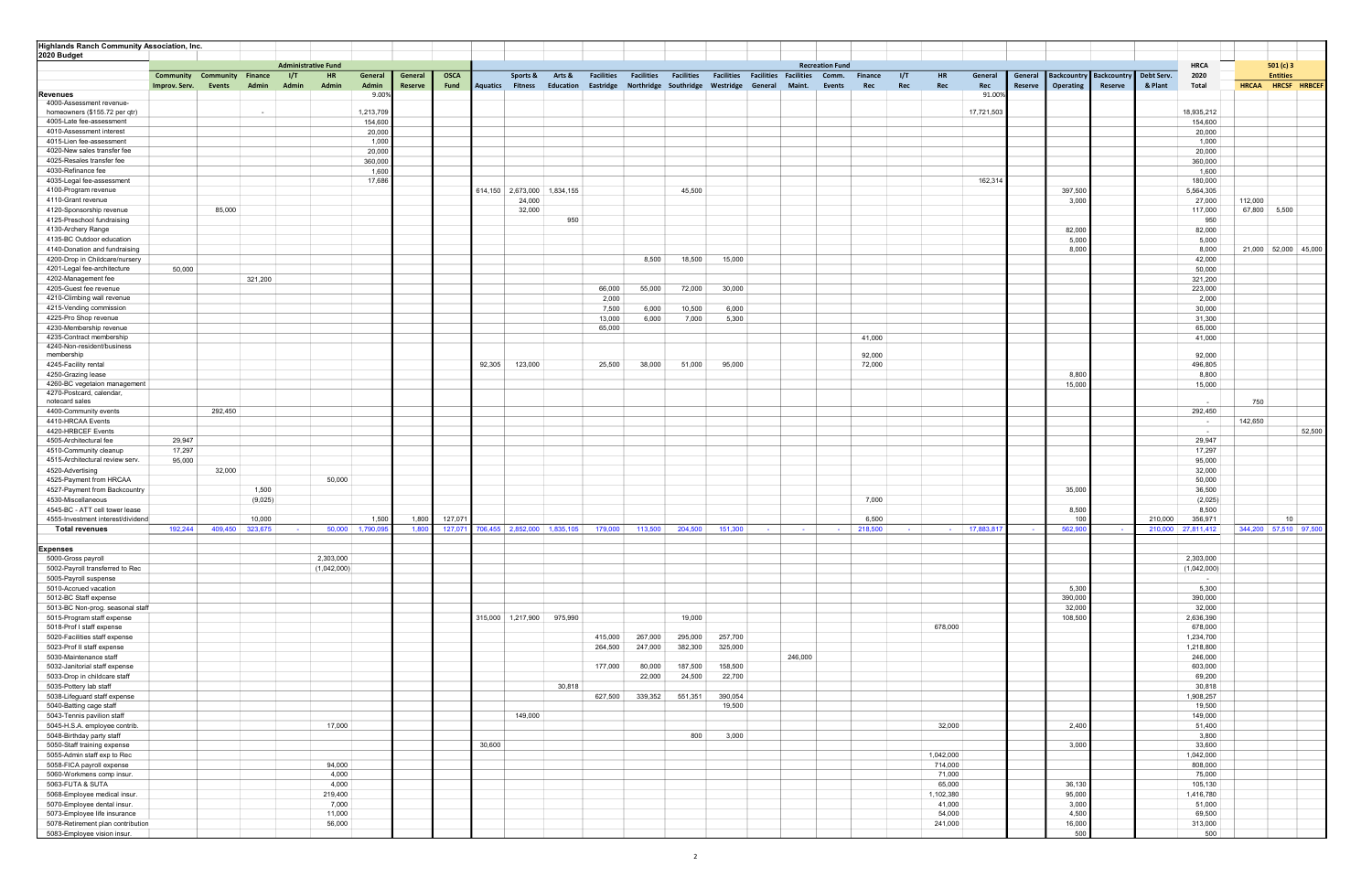| <b>Highlands Ranch Community Association, Inc.</b>         |                            |                                    |                 |                                      |                      |                    |                     |                         |                  |                             |                                |                   |                   |                                                                            |                 |                          |                        |                       |                                |                |                    |                                 |                        |                       |                         |                                 |              |
|------------------------------------------------------------|----------------------------|------------------------------------|-----------------|--------------------------------------|----------------------|--------------------|---------------------|-------------------------|------------------|-----------------------------|--------------------------------|-------------------|-------------------|----------------------------------------------------------------------------|-----------------|--------------------------|------------------------|-----------------------|--------------------------------|----------------|--------------------|---------------------------------|------------------------|-----------------------|-------------------------|---------------------------------|--------------|
| 2020 Budget                                                |                            |                                    |                 |                                      |                      |                    |                     |                         |                  |                             |                                |                   |                   |                                                                            |                 |                          |                        |                       |                                |                |                    |                                 |                        |                       |                         |                                 |              |
|                                                            |                            |                                    |                 | <b>Administrative Fund</b>           |                      |                    |                     |                         |                  |                             |                                |                   |                   |                                                                            |                 |                          | <b>Recreation Fund</b> |                       |                                |                |                    |                                 |                        |                       | <b>HRCA</b>             | 501 $(c)$ 3                     |              |
|                                                            | Community<br>Improv. Serv. | <b>Community Finance</b><br>Events | <b>Admin</b>    | - 1/T<br><b>HR</b><br>Admin<br>Admin | General<br>Admin     | General<br>Reserve | <b>OSCA</b><br>Fund | <b>Aquatics Fitness</b> | Sports &         | Arts &<br>Education         | <b>Facilities</b><br>Eastridge | <b>Facilities</b> | <b>Facilities</b> | <b>Facilities Facilities Facilities</b><br>Northridge Southridge Westridge | General         | Maint.                   | Comm.<br>Events        | <b>Finance</b><br>Rec | 1/T<br><b>HR</b><br>Rec<br>Rec | General<br>Rec | General<br>Reserve | <b>Backcountry</b><br>Operating | Backcountry<br>Reserve | Debt Serv.<br>& Plant | 2020<br>Total           | <b>Entities</b><br><b>HRCAA</b> | HRCSF HRBCEF |
| <b>Revenues</b>                                            |                            |                                    |                 |                                      | 9.00%                |                    |                     |                         |                  |                             |                                |                   |                   |                                                                            |                 |                          |                        |                       |                                | 91.00%         |                    |                                 |                        |                       |                         |                                 |              |
| 4000-Assessment revenue-                                   |                            |                                    |                 |                                      |                      |                    |                     |                         |                  |                             |                                |                   |                   |                                                                            |                 |                          |                        |                       |                                |                |                    |                                 |                        |                       |                         |                                 |              |
| homeowners (\$155.72 per qtr)<br>4005-Late fee-assessment  |                            |                                    |                 |                                      | 1,213,709<br>154,600 |                    |                     |                         |                  |                             |                                |                   |                   |                                                                            |                 |                          |                        |                       |                                | 17,721,503     |                    |                                 |                        |                       | 18,935,212<br>154,600   |                                 |              |
| 4010-Assessment interest                                   |                            |                                    |                 |                                      | 20,000               |                    |                     |                         |                  |                             |                                |                   |                   |                                                                            |                 |                          |                        |                       |                                |                |                    |                                 |                        |                       | 20,000                  |                                 |              |
| 4015-Lien fee-assessment                                   |                            |                                    |                 |                                      | 1,000                |                    |                     |                         |                  |                             |                                |                   |                   |                                                                            |                 |                          |                        |                       |                                |                |                    |                                 |                        |                       | 1,000                   |                                 |              |
| 4020-New sales transfer fee                                |                            |                                    |                 |                                      | 20,000               |                    |                     |                         |                  |                             |                                |                   |                   |                                                                            |                 |                          |                        |                       |                                |                |                    |                                 |                        |                       | 20,000                  |                                 |              |
| 4025-Resales transfer fee                                  |                            |                                    |                 |                                      | 360,000              |                    |                     |                         |                  |                             |                                |                   |                   |                                                                            |                 |                          |                        |                       |                                |                |                    |                                 |                        |                       | 360,000                 |                                 |              |
| 4030-Refinance fee                                         |                            |                                    |                 |                                      | 1,600                |                    |                     |                         |                  |                             |                                |                   |                   |                                                                            |                 |                          |                        |                       |                                |                |                    |                                 |                        |                       | 1,600                   |                                 |              |
| 4035-Legal fee-assessment                                  |                            |                                    |                 |                                      | 17,686               |                    |                     |                         |                  |                             |                                |                   |                   |                                                                            |                 |                          |                        |                       |                                | 162,314        |                    |                                 |                        |                       | 180,000                 |                                 |              |
| 4100-Program revenue<br>4110-Grant revenue                 |                            |                                    |                 |                                      |                      |                    |                     |                         |                  | 614,150 2,673,000 1,834,155 |                                |                   | 45,500            |                                                                            |                 |                          |                        |                       |                                |                |                    | 397,500                         |                        |                       | 5,564,305               |                                 |              |
| 4120-Sponsorship revenue                                   |                            | 85,000                             |                 |                                      |                      |                    |                     |                         | 24,000<br>32,000 |                             |                                |                   |                   |                                                                            |                 |                          |                        |                       |                                |                |                    | 3,000                           |                        |                       | 27,000<br>117,000       | 112,000<br>67,800 5,500         |              |
| 4125-Preschool fundraising                                 |                            |                                    |                 |                                      |                      |                    |                     |                         |                  | 950                         |                                |                   |                   |                                                                            |                 |                          |                        |                       |                                |                |                    |                                 |                        |                       | 950                     |                                 |              |
| 4130-Archery Range                                         |                            |                                    |                 |                                      |                      |                    |                     |                         |                  |                             |                                |                   |                   |                                                                            |                 |                          |                        |                       |                                |                |                    | 82,000                          |                        |                       | 82,000                  |                                 |              |
| 4135-BC Outdoor education                                  |                            |                                    |                 |                                      |                      |                    |                     |                         |                  |                             |                                |                   |                   |                                                                            |                 |                          |                        |                       |                                |                |                    | 5,000                           |                        |                       | 5,000                   |                                 |              |
| 4140-Donation and fundraising                              |                            |                                    |                 |                                      |                      |                    |                     |                         |                  |                             |                                |                   |                   |                                                                            |                 |                          |                        |                       |                                |                |                    | 8,000                           |                        |                       | 8,000                   | 21,000 52,000 45,000            |              |
| 4200-Drop in Childcare/nursery                             |                            |                                    |                 |                                      |                      |                    |                     |                         |                  |                             |                                | 8,500             | 18,500            | 15,000                                                                     |                 |                          |                        |                       |                                |                |                    |                                 |                        |                       | 42,000                  |                                 |              |
| 4201-Legal fee-architecture                                | 50,000                     |                                    |                 |                                      |                      |                    |                     |                         |                  |                             |                                |                   |                   |                                                                            |                 |                          |                        |                       |                                |                |                    |                                 |                        |                       | 50,000                  |                                 |              |
| 4202-Management fee<br>4205-Guest fee revenue              |                            |                                    | 321,200         |                                      |                      |                    |                     |                         |                  |                             | 66,000                         | 55,000            | 72,000            | 30,000                                                                     |                 |                          |                        |                       |                                |                |                    |                                 |                        |                       | 321,200<br>223,000      |                                 |              |
| 4210-Climbing wall revenue                                 |                            |                                    |                 |                                      |                      |                    |                     |                         |                  |                             | 2,000                          |                   |                   |                                                                            |                 |                          |                        |                       |                                |                |                    |                                 |                        |                       | 2,000                   |                                 |              |
| 4215-Vending commission                                    |                            |                                    |                 |                                      |                      |                    |                     |                         |                  |                             | 7,500                          | 6,000             | 10,500            | 6,000                                                                      |                 |                          |                        |                       |                                |                |                    |                                 |                        |                       | 30,000                  |                                 |              |
| 4225-Pro Shop revenue                                      |                            |                                    |                 |                                      |                      |                    |                     |                         |                  |                             | 13,000                         | 6,000             | 7,000             | 5,300                                                                      |                 |                          |                        |                       |                                |                |                    |                                 |                        |                       | 31,300                  |                                 |              |
| 4230-Membership revenue                                    |                            |                                    |                 |                                      |                      |                    |                     |                         |                  |                             | 65,000                         |                   |                   |                                                                            |                 |                          |                        |                       |                                |                |                    |                                 |                        |                       | 65,000                  |                                 |              |
| 4235-Contract membership                                   |                            |                                    |                 |                                      |                      |                    |                     |                         |                  |                             |                                |                   |                   |                                                                            |                 |                          |                        | 41,000                |                                |                |                    |                                 |                        |                       | 41,000                  |                                 |              |
| 4240-Non-resident/business<br>membership                   |                            |                                    |                 |                                      |                      |                    |                     |                         |                  |                             |                                |                   |                   |                                                                            |                 |                          |                        | 92,000                |                                |                |                    |                                 |                        |                       | 92,000                  |                                 |              |
| 4245-Facility rental                                       |                            |                                    |                 |                                      |                      |                    |                     | 92,305                  | 123,000          |                             | 25,500                         | 38,000            | 51,000            | 95,000                                                                     |                 |                          |                        | 72,000                |                                |                |                    |                                 |                        |                       | 496,805                 |                                 |              |
| 4250-Grazing lease                                         |                            |                                    |                 |                                      |                      |                    |                     |                         |                  |                             |                                |                   |                   |                                                                            |                 |                          |                        |                       |                                |                |                    | 8,800                           |                        |                       | 8,800                   |                                 |              |
| 4260-BC vegetaion management                               |                            |                                    |                 |                                      |                      |                    |                     |                         |                  |                             |                                |                   |                   |                                                                            |                 |                          |                        |                       |                                |                |                    | 15,000                          |                        |                       | 15,000                  |                                 |              |
| 4270-Postcard, calendar,                                   |                            |                                    |                 |                                      |                      |                    |                     |                         |                  |                             |                                |                   |                   |                                                                            |                 |                          |                        |                       |                                |                |                    |                                 |                        |                       |                         |                                 |              |
| notecard sales                                             |                            |                                    |                 |                                      |                      |                    |                     |                         |                  |                             |                                |                   |                   |                                                                            |                 |                          |                        |                       |                                |                |                    |                                 |                        |                       |                         | 750                             |              |
| 4400-Community events<br>4410-HRCAA Events                 |                            | 292,450                            |                 |                                      |                      |                    |                     |                         |                  |                             |                                |                   |                   |                                                                            |                 |                          |                        |                       |                                |                |                    |                                 |                        |                       | 292,450<br>$\sim$       | 142,650                         |              |
| 4420-HRBCEF Events                                         |                            |                                    |                 |                                      |                      |                    |                     |                         |                  |                             |                                |                   |                   |                                                                            |                 |                          |                        |                       |                                |                |                    |                                 |                        |                       | $\sim$                  |                                 | 52,500       |
| 4505-Architectural fee                                     | 29,947                     |                                    |                 |                                      |                      |                    |                     |                         |                  |                             |                                |                   |                   |                                                                            |                 |                          |                        |                       |                                |                |                    |                                 |                        |                       | 29,947                  |                                 |              |
| 4510-Community cleanup                                     | 17,297                     |                                    |                 |                                      |                      |                    |                     |                         |                  |                             |                                |                   |                   |                                                                            |                 |                          |                        |                       |                                |                |                    |                                 |                        |                       | 17,297                  |                                 |              |
| 4515-Architectural review serv.                            | 95,000                     |                                    |                 |                                      |                      |                    |                     |                         |                  |                             |                                |                   |                   |                                                                            |                 |                          |                        |                       |                                |                |                    |                                 |                        |                       | 95,000                  |                                 |              |
| 4520-Advertising                                           |                            | 32,000                             |                 |                                      |                      |                    |                     |                         |                  |                             |                                |                   |                   |                                                                            |                 |                          |                        |                       |                                |                |                    |                                 |                        |                       | 32,000                  |                                 |              |
| 4525-Payment from HRCAA                                    |                            |                                    |                 | 50,000                               |                      |                    |                     |                         |                  |                             |                                |                   |                   |                                                                            |                 |                          |                        |                       |                                |                |                    |                                 |                        |                       | 50,000                  |                                 |              |
| 4527-Payment from Backcountry                              |                            |                                    | 1,500           |                                      |                      |                    |                     |                         |                  |                             |                                |                   |                   |                                                                            |                 |                          |                        |                       |                                |                |                    | 35,000                          |                        |                       | 36,500                  |                                 |              |
| 4530-Miscellaneous<br>4545-BC - ATT cell tower lease       |                            |                                    | (9,025)         |                                      |                      |                    |                     |                         |                  |                             |                                |                   |                   |                                                                            |                 |                          |                        | 7,000                 |                                |                |                    |                                 |                        |                       | (2,025)                 |                                 |              |
| 4555-Investment interest/dividend                          |                            |                                    | 10,000          |                                      | 1,500                | 1,800              | 127,071             |                         |                  |                             |                                |                   |                   |                                                                            |                 |                          |                        | 6,500                 |                                |                |                    | 8,500<br>100                    |                        | 210,000               | 8,500<br>356,971        | 10                              |              |
| <b>Total revenues</b>                                      | 192,244                    |                                    | 409,450 323,675 | 50,000<br><b>Service</b>             | 1,790,09             | 1.800              | 127,071             |                         |                  | 706,455 2,852,000 1,835,105 | 179,000                        | 113,500           | 204,500           | 151,300                                                                    | <b>Contract</b> | <b>Contract Contract</b> | <b>Contractor</b>      | 218,500               | <b>Contract</b><br>$\sim$      | 17,883,81      |                    | 562,900                         |                        |                       | 210,000 27,811,412      | 344,200 57,510 97,500           |              |
|                                                            |                            |                                    |                 |                                      |                      |                    |                     |                         |                  |                             |                                |                   |                   |                                                                            |                 |                          |                        |                       |                                |                |                    |                                 |                        |                       |                         |                                 |              |
| <b>Expenses</b>                                            |                            |                                    |                 |                                      |                      |                    |                     |                         |                  |                             |                                |                   |                   |                                                                            |                 |                          |                        |                       |                                |                |                    |                                 |                        |                       |                         |                                 |              |
| 5000-Gross payroll                                         |                            |                                    |                 | 2,303,000                            |                      |                    |                     |                         |                  |                             |                                |                   |                   |                                                                            |                 |                          |                        |                       |                                |                |                    |                                 |                        |                       | 2,303,000               |                                 |              |
| 5002-Payroll transferred to Rec                            |                            |                                    |                 | (1,042,000)                          |                      |                    |                     |                         |                  |                             |                                |                   |                   |                                                                            |                 |                          |                        |                       |                                |                |                    |                                 |                        |                       | (1,042,000)             |                                 |              |
| 5005-Payroll suspense<br>5010-Accrued vacation             |                            |                                    |                 |                                      |                      |                    |                     |                         |                  |                             |                                |                   |                   |                                                                            |                 |                          |                        |                       |                                |                |                    | 5,300                           |                        |                       | $\sim 10^{-1}$<br>5,300 |                                 |              |
| 5012-BC Staff expense                                      |                            |                                    |                 |                                      |                      |                    |                     |                         |                  |                             |                                |                   |                   |                                                                            |                 |                          |                        |                       |                                |                |                    | 390,000                         |                        |                       | 390,000                 |                                 |              |
| 5013-BC Non-prog. seasonal staff                           |                            |                                    |                 |                                      |                      |                    |                     |                         |                  |                             |                                |                   |                   |                                                                            |                 |                          |                        |                       |                                |                |                    | 32,000                          |                        |                       | 32,000                  |                                 |              |
| 5015-Program staff expense                                 |                            |                                    |                 |                                      |                      |                    |                     |                         |                  | 315,000 1,217,900 975,990   |                                |                   | 19,000            |                                                                            |                 |                          |                        |                       |                                |                |                    | 108,500                         |                        |                       | 2,636,390               |                                 |              |
| 5018-Prof I staff expense                                  |                            |                                    |                 |                                      |                      |                    |                     |                         |                  |                             |                                |                   |                   |                                                                            |                 |                          |                        |                       | 678,000                        |                |                    |                                 |                        |                       | 678,000                 |                                 |              |
| 5020-Facilities staff expense                              |                            |                                    |                 |                                      |                      |                    |                     |                         |                  |                             | 415,000                        | 267,000           | 295,000           | 257,700                                                                    |                 |                          |                        |                       |                                |                |                    |                                 |                        |                       | 1,234,700               |                                 |              |
| 5023-Prof II staff expense<br>5030-Maintenance staff       |                            |                                    |                 |                                      |                      |                    |                     |                         |                  |                             | 264,500                        | 247,000           | 382,300           | 325,000                                                                    |                 |                          |                        |                       |                                |                |                    |                                 |                        |                       | 1,218,800               |                                 |              |
| 5032-Janitorial staff expense                              |                            |                                    |                 |                                      |                      |                    |                     |                         |                  |                             | 177,000                        | 80,000            | 187,500           | 158,500                                                                    |                 | 246,000                  |                        |                       |                                |                |                    |                                 |                        |                       | 246,000<br>603,000      |                                 |              |
| 5033-Drop in childcare staff                               |                            |                                    |                 |                                      |                      |                    |                     |                         |                  |                             |                                | 22,000            | 24,500            | 22,700                                                                     |                 |                          |                        |                       |                                |                |                    |                                 |                        |                       | 69,200                  |                                 |              |
| 5035-Pottery lab staff                                     |                            |                                    |                 |                                      |                      |                    |                     |                         |                  | 30,818                      |                                |                   |                   |                                                                            |                 |                          |                        |                       |                                |                |                    |                                 |                        |                       | 30,818                  |                                 |              |
| 5038-Lifeguard staff expense                               |                            |                                    |                 |                                      |                      |                    |                     |                         |                  |                             | 627,500                        | 339,352           | 551,351           | 390,054                                                                    |                 |                          |                        |                       |                                |                |                    |                                 |                        |                       | 1,908,257               |                                 |              |
| 5040-Batting cage staff                                    |                            |                                    |                 |                                      |                      |                    |                     |                         |                  |                             |                                |                   |                   | 19,500                                                                     |                 |                          |                        |                       |                                |                |                    |                                 |                        |                       | 19,500                  |                                 |              |
| 5043-Tennis pavilion staff                                 |                            |                                    |                 |                                      |                      |                    |                     |                         | 149,000          |                             |                                |                   |                   |                                                                            |                 |                          |                        |                       |                                |                |                    |                                 |                        |                       | 149,000                 |                                 |              |
| 5045-H.S.A. employee contrib.                              |                            |                                    |                 | 17,000                               |                      |                    |                     |                         |                  |                             |                                |                   |                   |                                                                            |                 |                          |                        |                       | 32,000                         |                |                    | 2,400                           |                        |                       | 51,400                  |                                 |              |
| 5048-Birthday party staff                                  |                            |                                    |                 |                                      |                      |                    |                     |                         |                  |                             |                                |                   | 800               | 3,000                                                                      |                 |                          |                        |                       |                                |                |                    |                                 |                        |                       | 3,800                   |                                 |              |
| 5050-Staff training expense<br>5055-Admin staff exp to Rec |                            |                                    |                 |                                      |                      |                    |                     | 30,600                  |                  |                             |                                |                   |                   |                                                                            |                 |                          |                        |                       | 1,042,000                      |                |                    | 3,000                           |                        |                       | 33,600<br>1,042,000     |                                 |              |
| 5058-FICA payroll expense                                  |                            |                                    |                 | 94,000                               |                      |                    |                     |                         |                  |                             |                                |                   |                   |                                                                            |                 |                          |                        |                       | 714,000                        |                |                    |                                 |                        |                       | 808,000                 |                                 |              |
| 5060-Workmens comp insur.                                  |                            |                                    |                 | 4,000                                |                      |                    |                     |                         |                  |                             |                                |                   |                   |                                                                            |                 |                          |                        |                       | 71,000                         |                |                    |                                 |                        |                       | 75,000                  |                                 |              |
| 5063-FUTA & SUTA                                           |                            |                                    |                 | 4,000                                |                      |                    |                     |                         |                  |                             |                                |                   |                   |                                                                            |                 |                          |                        |                       | 65,000                         |                |                    | 36,130                          |                        |                       | 105,130                 |                                 |              |
| 5068-Employee medical insur.                               |                            |                                    |                 | 219,400                              |                      |                    |                     |                         |                  |                             |                                |                   |                   |                                                                            |                 |                          |                        |                       | 1,102,380                      |                |                    | 95,000                          |                        |                       | 1,416,780               |                                 |              |
| 5070-Employee dental insur.                                |                            |                                    |                 | 7,000                                |                      |                    |                     |                         |                  |                             |                                |                   |                   |                                                                            |                 |                          |                        |                       | 41,000                         |                |                    | 3,000                           |                        |                       | 51,000                  |                                 |              |
| 5073-Employee life insurance                               |                            |                                    |                 | 11,000                               |                      |                    |                     |                         |                  |                             |                                |                   |                   |                                                                            |                 |                          |                        |                       | 54,000                         |                |                    | 4,500                           |                        |                       | 69,500                  |                                 |              |
| 5078-Retirement plan contribution                          |                            |                                    |                 | 56,000                               |                      |                    |                     |                         |                  |                             |                                |                   |                   |                                                                            |                 |                          |                        |                       | 241,000                        |                |                    | 16,000<br>500                   |                        |                       | 313,000                 |                                 |              |
| 5083-Employee vision insur.                                |                            |                                    |                 |                                      |                      |                    |                     |                         |                  |                             |                                |                   |                   |                                                                            |                 |                          |                        |                       |                                |                |                    |                                 |                        |                       | 500                     |                                 |              |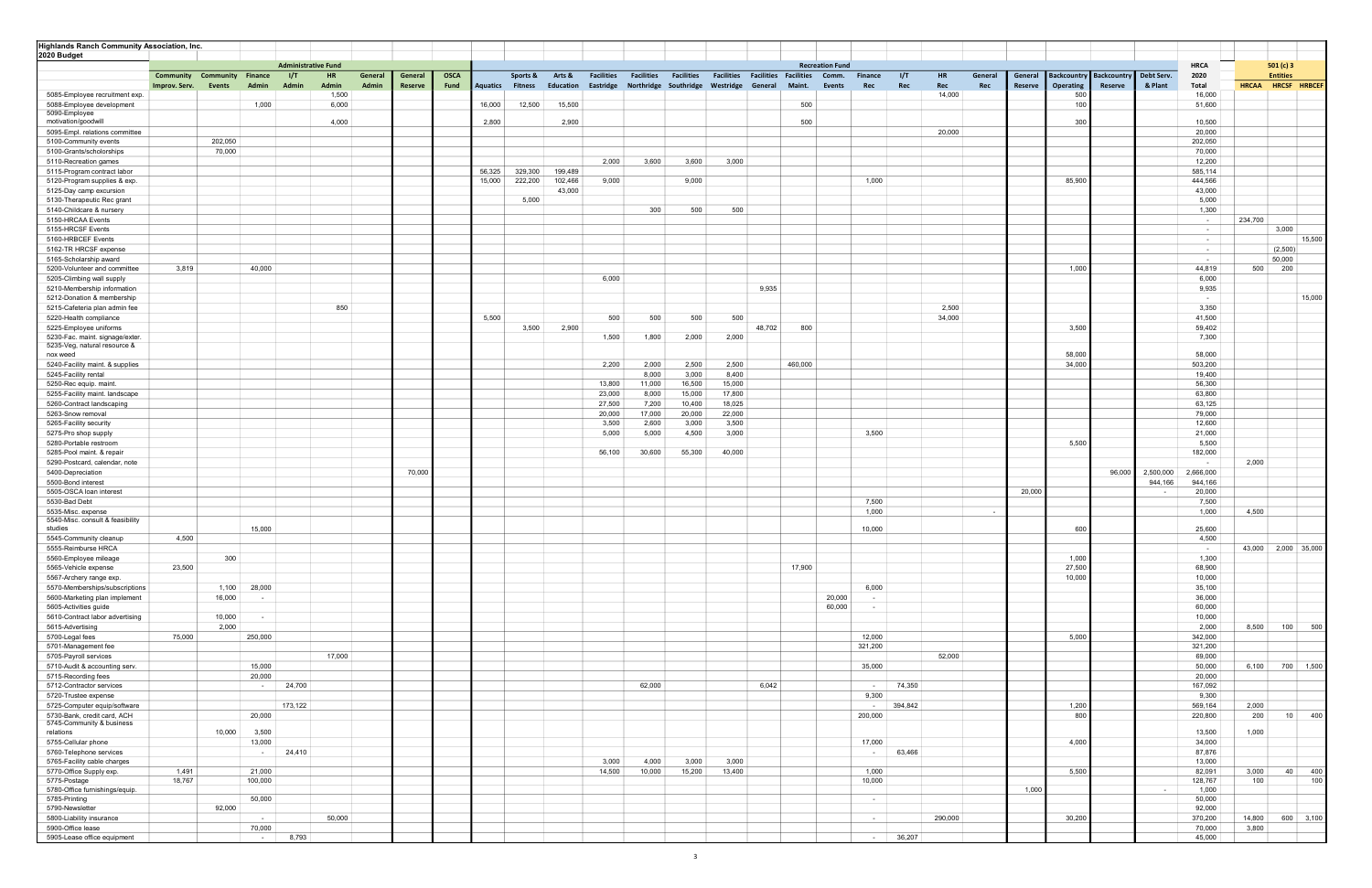| <b>Highlands Ranch Community Association, Inc.</b>          |               |                          |                |                            |                       |         |         |             |                         |          |           |                   |                   |                                 |                   |                   |                            |                          |                  |         |                       |                         |                    |                           |              |                     |
|-------------------------------------------------------------|---------------|--------------------------|----------------|----------------------------|-----------------------|---------|---------|-------------|-------------------------|----------|-----------|-------------------|-------------------|---------------------------------|-------------------|-------------------|----------------------------|--------------------------|------------------|---------|-----------------------|-------------------------|--------------------|---------------------------|--------------|---------------------|
| 2020 Budget                                                 |               |                          |                |                            |                       |         |         |             |                         |          |           |                   |                   |                                 |                   |                   |                            |                          |                  |         |                       |                         |                    |                           |              |                     |
|                                                             |               |                          |                | <b>Administrative Fund</b> |                       |         |         |             |                         |          |           |                   |                   |                                 |                   |                   | <b>Recreation Fund</b>     |                          |                  |         |                       |                         |                    | <b>HRCA</b>               |              | 501 (c) 3           |
|                                                             | Community     | <b>Community Finance</b> |                | 1/T                        | <b>HR</b>             | General | General | <b>OSCA</b> |                         | Sports & | Arts &    | <b>Facilities</b> | <b>Facilities</b> | <b>Facilities</b>               | <b>Facilities</b> | <b>Facilities</b> | <b>Facilities</b><br>Comm. | <b>Finance</b>           | 1/T<br><b>HR</b> | General | General               | <b>Backcountry</b>      | <b>Backcountry</b> | Debt Serv.<br>2020        |              | <b>Entities</b>     |
|                                                             | Improv. Serv. | Events                   | Admin          | Admin                      | <b>Admin</b><br>1,500 | Admin   | Reserve | Fund        | <b>Aquatics Fitness</b> |          | Education | Eastridge         |                   | Northridge Southridge Westridge |                   | General           | Maint.                     | Events<br>Rec            | Rec<br>Rec       |         | Rec<br><b>Reserve</b> | <b>Operating</b><br>500 | Reserve            | & Plant<br>Total          | <b>HRCAA</b> | HRCSF HRBCEF        |
| 5085-Employee recruitment exp.<br>5088-Employee development |               |                          | 1,000          |                            | 6,000                 |         |         |             | 16,000                  | 12,500   | 15,500    |                   |                   |                                 |                   |                   | 500                        |                          | 14,000           |         |                       | 100                     |                    | 16,000<br>51,600          |              |                     |
| 5090-Employee                                               |               |                          |                |                            |                       |         |         |             |                         |          |           |                   |                   |                                 |                   |                   |                            |                          |                  |         |                       |                         |                    |                           |              |                     |
| motivation/goodwill                                         |               |                          |                |                            | 4,000                 |         |         |             | 2,800                   |          | 2,900     |                   |                   |                                 |                   |                   | 500                        |                          |                  |         |                       | 300                     |                    | 10,500                    |              |                     |
| 5095-Empl. relations committee                              |               |                          |                |                            |                       |         |         |             |                         |          |           |                   |                   |                                 |                   |                   |                            |                          | 20,000           |         |                       |                         |                    | 20,000                    |              |                     |
| 5100-Community events                                       |               | 202,050                  |                |                            |                       |         |         |             |                         |          |           |                   |                   |                                 |                   |                   |                            |                          |                  |         |                       |                         |                    | 202,050                   |              |                     |
| 5100-Grants/scholorships                                    |               | 70,000                   |                |                            |                       |         |         |             |                         |          |           |                   |                   |                                 |                   |                   |                            |                          |                  |         |                       |                         |                    | 70,000                    |              |                     |
| 5110-Recreation games                                       |               |                          |                |                            |                       |         |         |             |                         |          |           | 2,000             | 3,600             | 3,600                           | 3,000             |                   |                            |                          |                  |         |                       |                         |                    | 12,200                    |              |                     |
| 5115-Program contract labor                                 |               |                          |                |                            |                       |         |         |             | 56,325                  | 329,300  | 199,489   |                   |                   |                                 |                   |                   |                            |                          |                  |         |                       |                         |                    | 585,114                   |              |                     |
| 5120-Program supplies & exp.                                |               |                          |                |                            |                       |         |         |             | 15,000                  | 222,200  | 102,466   | 9,000             |                   | 9,000                           |                   |                   |                            | 1,000                    |                  |         |                       | 85,900                  |                    | 444,566                   |              |                     |
| 5125-Day camp excursion                                     |               |                          |                |                            |                       |         |         |             |                         |          | 43,000    |                   |                   |                                 |                   |                   |                            |                          |                  |         |                       |                         |                    | 43,000                    |              |                     |
| 5130-Therapeutic Rec grant                                  |               |                          |                |                            |                       |         |         |             |                         | 5,000    |           |                   | 300               |                                 | 500               |                   |                            |                          |                  |         |                       |                         |                    | 5,000                     |              |                     |
| 5140-Childcare & nursery<br>5150-HRCAA Events               |               |                          |                |                            |                       |         |         |             |                         |          |           |                   |                   | 500                             |                   |                   |                            |                          |                  |         |                       |                         |                    | 1,300<br>$\sim$           | 234,700      |                     |
| 5155-HRCSF Events                                           |               |                          |                |                            |                       |         |         |             |                         |          |           |                   |                   |                                 |                   |                   |                            |                          |                  |         |                       |                         |                    | $\sim$                    |              | 3,000               |
| 5160-HRBCEF Events                                          |               |                          |                |                            |                       |         |         |             |                         |          |           |                   |                   |                                 |                   |                   |                            |                          |                  |         |                       |                         |                    | $\sim$                    |              | 15,500              |
| 5162-TR HRCSF expense                                       |               |                          |                |                            |                       |         |         |             |                         |          |           |                   |                   |                                 |                   |                   |                            |                          |                  |         |                       |                         |                    | $\sim$                    |              | (2,500)             |
| 5165-Scholarship award                                      |               |                          |                |                            |                       |         |         |             |                         |          |           |                   |                   |                                 |                   |                   |                            |                          |                  |         |                       |                         |                    | $\sim$                    |              | 50,000              |
| 5200-Volunteer and committee                                | 3,819         |                          | 40,000         |                            |                       |         |         |             |                         |          |           |                   |                   |                                 |                   |                   |                            |                          |                  |         |                       | 1,000                   |                    | 44,819                    | 500          | 200                 |
| 5205-Climbing wall supply                                   |               |                          |                |                            |                       |         |         |             |                         |          |           | 6,000             |                   |                                 |                   |                   |                            |                          |                  |         |                       |                         |                    | 6,000                     |              |                     |
| 5210-Membership information                                 |               |                          |                |                            |                       |         |         |             |                         |          |           |                   |                   |                                 |                   | 9,935             |                            |                          |                  |         |                       |                         |                    | 9,935                     |              |                     |
| 5212-Donation & membership                                  |               |                          |                |                            |                       |         |         |             |                         |          |           |                   |                   |                                 |                   |                   |                            |                          |                  |         |                       |                         |                    | $\sim$                    |              | 15,000              |
| 5215-Cafeteria plan admin fee                               |               |                          |                |                            | 850                   |         |         |             |                         |          |           |                   |                   |                                 |                   |                   |                            |                          | 2,500            |         |                       |                         |                    | 3,350                     |              |                     |
| 5220-Health compliance                                      |               |                          |                |                            |                       |         |         |             | 5,500                   |          |           | 500               | 500               | 500                             | 500               |                   |                            |                          | 34,000           |         |                       |                         |                    | 41,500                    |              |                     |
| 5225-Employee uniforms                                      |               |                          |                |                            |                       |         |         |             |                         | 3,500    | 2,900     |                   |                   |                                 |                   | 48,702            | 800                        |                          |                  |         |                       | 3,500                   |                    | 59,402                    |              |                     |
| 5230-Fac. maint. signage/exter                              |               |                          |                |                            |                       |         |         |             |                         |          |           | 1,500             | 1,800             | 2,000                           | 2,000             |                   |                            |                          |                  |         |                       |                         |                    | 7,300                     |              |                     |
| 5235-Veg, natural resource &<br>nox weed                    |               |                          |                |                            |                       |         |         |             |                         |          |           |                   |                   |                                 |                   |                   |                            |                          |                  |         |                       | 58,000                  |                    | 58,000                    |              |                     |
| 5240-Facility maint. & supplies                             |               |                          |                |                            |                       |         |         |             |                         |          |           | 2,200             | 2,000             | 2,500                           | 2,500             |                   | 460,000                    |                          |                  |         |                       | 34,000                  |                    | 503,200                   |              |                     |
| 5245-Facility rental                                        |               |                          |                |                            |                       |         |         |             |                         |          |           |                   | 8,000             | 3,000                           | 8,400             |                   |                            |                          |                  |         |                       |                         |                    | 19,400                    |              |                     |
| 5250-Rec equip. maint.                                      |               |                          |                |                            |                       |         |         |             |                         |          |           | 13,800            | 11,000            | 16,500                          | 15,000            |                   |                            |                          |                  |         |                       |                         |                    | 56,300                    |              |                     |
| 5255-Facility maint. landscape                              |               |                          |                |                            |                       |         |         |             |                         |          |           | 23,000            | 8,000             | 15,000                          | 17,800            |                   |                            |                          |                  |         |                       |                         |                    | 63,800                    |              |                     |
| 5260-Contract landscaping                                   |               |                          |                |                            |                       |         |         |             |                         |          |           | 27,500            | 7,200             | 10,400                          | 18,025            |                   |                            |                          |                  |         |                       |                         |                    | 63,125                    |              |                     |
| 5263-Snow removal                                           |               |                          |                |                            |                       |         |         |             |                         |          |           | 20,000            | 17,000            | 20,000                          | 22,000            |                   |                            |                          |                  |         |                       |                         |                    | 79,000                    |              |                     |
| 5265-Facility security                                      |               |                          |                |                            |                       |         |         |             |                         |          |           | 3,500             | 2,600             | 3,000                           | 3,500             |                   |                            |                          |                  |         |                       |                         |                    | 12,600                    |              |                     |
| 5275-Pro shop supply                                        |               |                          |                |                            |                       |         |         |             |                         |          |           | 5,000             | 5,000             | 4,500                           | 3,000             |                   |                            | 3,500                    |                  |         |                       |                         |                    | 21,000                    |              |                     |
| 5280-Portable restroom                                      |               |                          |                |                            |                       |         |         |             |                         |          |           |                   |                   |                                 |                   |                   |                            |                          |                  |         |                       | 5,500                   |                    | 5,500                     |              |                     |
| 5285-Pool maint. & repair                                   |               |                          |                |                            |                       |         |         |             |                         |          |           | 56,100            | 30,600            | 55,300                          | 40,000            |                   |                            |                          |                  |         |                       |                         |                    | 182,000                   |              |                     |
| 5290-Postcard, calendar, note                               |               |                          |                |                            |                       |         |         |             |                         |          |           |                   |                   |                                 |                   |                   |                            |                          |                  |         |                       |                         |                    | $\sim$                    | 2,000        |                     |
| 5400-Depreciation                                           |               |                          |                |                            |                       |         | 70,000  |             |                         |          |           |                   |                   |                                 |                   |                   |                            |                          |                  |         |                       |                         | 96,000             | 2,500,000<br>2,666,000    |              |                     |
| 5500-Bond interest<br>5505-OSCA loan interest               |               |                          |                |                            |                       |         |         |             |                         |          |           |                   |                   |                                 |                   |                   |                            |                          |                  |         | 20,000                |                         |                    | 944,166<br>944,166        |              |                     |
| 5530-Bad Debt                                               |               |                          |                |                            |                       |         |         |             |                         |          |           |                   |                   |                                 |                   |                   |                            | 7,500                    |                  |         |                       |                         |                    | 20,000<br>$\sim$<br>7,500 |              |                     |
| 5535-Misc. expense                                          |               |                          |                |                            |                       |         |         |             |                         |          |           |                   |                   |                                 |                   |                   |                            | 1,000                    |                  |         |                       |                         |                    | 1,000                     | 4,500        |                     |
| 5540-Misc. consult & feasibility                            |               |                          |                |                            |                       |         |         |             |                         |          |           |                   |                   |                                 |                   |                   |                            |                          |                  |         | $\sim$                |                         |                    |                           |              |                     |
| studies                                                     |               |                          | 15,000         |                            |                       |         |         |             |                         |          |           |                   |                   |                                 |                   |                   |                            | 10,000                   |                  |         |                       | 600                     |                    | 25,600                    |              |                     |
| 5545-Community cleanup                                      | 4,500         |                          |                |                            |                       |         |         |             |                         |          |           |                   |                   |                                 |                   |                   |                            |                          |                  |         |                       |                         |                    | 4,500                     |              |                     |
| 5555-Reimburse HRCA                                         |               |                          |                |                            |                       |         |         |             |                         |          |           |                   |                   |                                 |                   |                   |                            |                          |                  |         |                       |                         |                    | $\sim$                    |              | 43,000 2,000 35,000 |
| 5560-Employee mileage                                       |               | 300                      |                |                            |                       |         |         |             |                         |          |           |                   |                   |                                 |                   |                   |                            |                          |                  |         |                       | 1,000                   |                    | 1,300                     |              |                     |
| 5565-Vehicle expense                                        | 23,500        |                          |                |                            |                       |         |         |             |                         |          |           |                   |                   |                                 |                   |                   | 17,900                     |                          |                  |         |                       | 27,500                  |                    | 68,900                    |              |                     |
| 5567-Archery range exp.                                     |               |                          |                |                            |                       |         |         |             |                         |          |           |                   |                   |                                 |                   |                   |                            |                          |                  |         |                       | 10,000                  |                    | 10,000                    |              |                     |
| 5570-Memberships/subscriptions                              |               | 1,100                    | 28,000         |                            |                       |         |         |             |                         |          |           |                   |                   |                                 |                   |                   |                            | 6,000                    |                  |         |                       |                         |                    | 35,100                    |              |                     |
| 5600-Marketing plan implement                               |               | 16,000                   | $\sim$         |                            |                       |         |         |             |                         |          |           |                   |                   |                                 |                   |                   |                            | 20,000<br>$\sim$ $-$     |                  |         |                       |                         |                    | 36,000                    |              |                     |
| 5605-Activities guide<br>5610-Contract labor advertising    |               | 10,000                   | $\sim$         |                            |                       |         |         |             |                         |          |           |                   |                   |                                 |                   |                   |                            | 60,000<br>$\sim 10^{-1}$ |                  |         |                       |                         |                    | 60,000<br>10,000          |              |                     |
| 5615-Advertising                                            |               | 2,000                    |                |                            |                       |         |         |             |                         |          |           |                   |                   |                                 |                   |                   |                            |                          |                  |         |                       |                         |                    | 2,000                     | 8,500        | 500<br>100          |
| 5700-Legal fees                                             | 75,000        |                          | 250,000        |                            |                       |         |         |             |                         |          |           |                   |                   |                                 |                   |                   |                            | 12,000                   |                  |         |                       | 5,000                   |                    | 342,000                   |              |                     |
| 5701-Management fee                                         |               |                          |                |                            |                       |         |         |             |                         |          |           |                   |                   |                                 |                   |                   |                            | 321,200                  |                  |         |                       |                         |                    | 321,200                   |              |                     |
| 5705-Payroll services                                       |               |                          |                |                            | 17,000                |         |         |             |                         |          |           |                   |                   |                                 |                   |                   |                            |                          | 52,000           |         |                       |                         |                    | 69,000                    |              |                     |
| 5710-Audit & accounting serv.                               |               |                          | 15,000         |                            |                       |         |         |             |                         |          |           |                   |                   |                                 |                   |                   |                            | 35,000                   |                  |         |                       |                         |                    | 50,000                    | 6,100        | 700 1,500           |
| 5715-Recording fees                                         |               |                          | 20,000         |                            |                       |         |         |             |                         |          |           |                   |                   |                                 |                   |                   |                            |                          |                  |         |                       |                         |                    | 20,000                    |              |                     |
| 5712-Contractor services                                    |               |                          | $\sim$         | 24,700                     |                       |         |         |             |                         |          |           |                   | 62,000            |                                 |                   | 6,042             |                            | $\sim 10^{-11}$          | 74,350           |         |                       |                         |                    | 167,092                   |              |                     |
| 5720-Trustee expense                                        |               |                          |                |                            |                       |         |         |             |                         |          |           |                   |                   |                                 |                   |                   |                            | 9,300                    |                  |         |                       |                         |                    | 9,300                     |              |                     |
| 5725-Computer equip/software                                |               |                          |                | 173,122                    |                       |         |         |             |                         |          |           |                   |                   |                                 |                   |                   |                            | $\sim$ $-$               | 394,842          |         |                       | 1,200                   |                    | 569,164                   | 2,000        |                     |
| 5730-Bank, credit card, ACH                                 |               |                          | 20,000         |                            |                       |         |         |             |                         |          |           |                   |                   |                                 |                   |                   |                            | 200,000                  |                  |         |                       | 800                     |                    | 220,800                   | 200          | 400<br>10           |
| 5745-Community & business                                   |               |                          |                |                            |                       |         |         |             |                         |          |           |                   |                   |                                 |                   |                   |                            |                          |                  |         |                       |                         |                    |                           |              |                     |
| relations                                                   |               | 10,000                   | 3,500          |                            |                       |         |         |             |                         |          |           |                   |                   |                                 |                   |                   |                            |                          |                  |         |                       |                         |                    | 13,500                    | 1,000        |                     |
| 5755-Cellular phone                                         |               |                          | 13,000         |                            |                       |         |         |             |                         |          |           |                   |                   |                                 |                   |                   |                            | 17,000                   |                  |         |                       | 4,000                   |                    | 34,000                    |              |                     |
| 5760-Telephone services                                     |               |                          | $\sim$ $-$     | 24,410                     |                       |         |         |             |                         |          |           | 3,000             | 4,000             | 3,000                           | 3,000             |                   |                            | $\sim$ $-$               | 63,466           |         |                       |                         |                    | 87,876                    |              |                     |
| 5765-Facility cable charges<br>5770-Office Supply exp.      | 1,491         |                          | 21,000         |                            |                       |         |         |             |                         |          |           | 14,500            | 10,000            | 15,200                          | 13,400            |                   |                            | 1,000                    |                  |         |                       | 5,500                   |                    | 13,000<br>82,091          | 3,000        | 40<br>400           |
| 5775-Postage                                                | 18,767        |                          | 100,000        |                            |                       |         |         |             |                         |          |           |                   |                   |                                 |                   |                   |                            | 10,000                   |                  |         |                       |                         |                    | 128,767                   | 100          | 100                 |
| 5780-Office furnishings/equip.                              |               |                          |                |                            |                       |         |         |             |                         |          |           |                   |                   |                                 |                   |                   |                            |                          |                  |         | 1,000                 |                         |                    | 1,000<br>$\sim$           |              |                     |
| 5785-Printing                                               |               |                          | 50,000         |                            |                       |         |         |             |                         |          |           |                   |                   |                                 |                   |                   |                            | $\sim$ $-$               |                  |         |                       |                         |                    | 50,000                    |              |                     |
| 5790-Newsletter                                             |               | 92,000                   |                |                            |                       |         |         |             |                         |          |           |                   |                   |                                 |                   |                   |                            |                          |                  |         |                       |                         |                    | 92,000                    |              |                     |
| 5800-Liability insurance                                    |               |                          | $\sim$         |                            | 50,000                |         |         |             |                         |          |           |                   |                   |                                 |                   |                   |                            | $\sim$                   | 290,000          |         |                       | 30,200                  |                    | 370,200                   | 14,800       | 600 3,100           |
| 5900-Office lease                                           |               |                          | 70,000         |                            |                       |         |         |             |                         |          |           |                   |                   |                                 |                   |                   |                            |                          |                  |         |                       |                         |                    | 70,000                    | 3,800        |                     |
| 5905-Lease office equipment                                 |               |                          | <b>Service</b> | 8,793                      |                       |         |         |             |                         |          |           |                   |                   |                                 |                   |                   |                            | <b>Contractor</b>        | 36,207           |         |                       |                         |                    | 45,000                    |              |                     |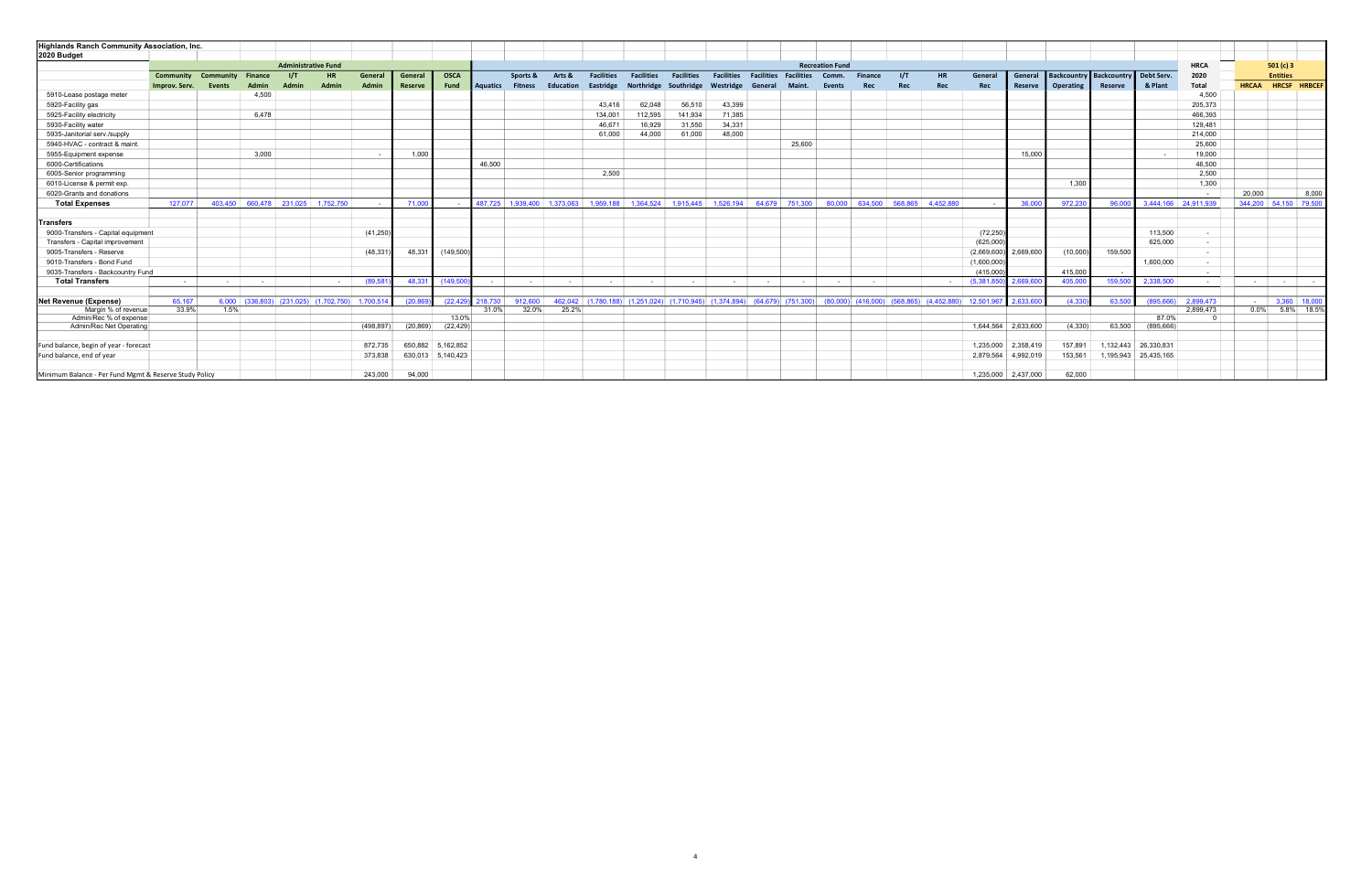| <b>Highlands Ranch Community Association, Inc.</b>     |                  |               |                |                            |                                         |            |                |                   |                 |                |                             |                                 |                     |                                 |                                                    |                   |                   |                        |                |                                                             |           |             |                         |                                    |         |                      |                          |                |                    |
|--------------------------------------------------------|------------------|---------------|----------------|----------------------------|-----------------------------------------|------------|----------------|-------------------|-----------------|----------------|-----------------------------|---------------------------------|---------------------|---------------------------------|----------------------------------------------------|-------------------|-------------------|------------------------|----------------|-------------------------------------------------------------|-----------|-------------|-------------------------|------------------------------------|---------|----------------------|--------------------------|----------------|--------------------|
| 2020 Budget                                            |                  |               |                |                            |                                         |            |                |                   |                 |                |                             |                                 |                     |                                 |                                                    |                   |                   |                        |                |                                                             |           |             |                         |                                    |         |                      |                          |                |                    |
|                                                        |                  |               |                | <b>Administrative Fund</b> |                                         |            |                |                   |                 |                |                             |                                 |                     |                                 |                                                    |                   |                   | <b>Recreation Fund</b> |                |                                                             |           |             |                         |                                    |         |                      | <b>HRCA</b>              |                | 501(c)3            |
|                                                        | <b>Community</b> | Community     | <b>Finance</b> | 1/T                        |                                         | General    | General        | <b>OSCA</b>       |                 | Sports &       | Arts &                      | <b>Facilities</b>               | <b>Facilities</b>   | <b>Facilities</b>               | <b>Facilities</b>                                  | <b>Facilities</b> | <b>Facilities</b> | Comm.                  | <b>Finance</b> | 1/T                                                         | <b>HR</b> | General     | General                 | Backcountry Backcountry Debt Serv. |         |                      | 2020                     |                | <b>Entities</b>    |
|                                                        | Improv. Serv.    | <b>Events</b> | Admin          |                            | Admin                                   | Admin      | <b>Reserve</b> | <b>Fund</b>       | <b>Aquatics</b> | <b>Fitness</b> | Education                   | Eastridge                       |                     | Northridge Southridge Westridge |                                                    | General           | Maint.            | <b>Events</b>          | Rec            | Rec                                                         | Rec       | Rec         | Reserve                 | Operating                          | Reserve | & Plant              | Total                    | <b>HRCAA</b>   | HRCSF HRBCEF       |
| 5910-Lease postage meter                               |                  |               | 4,500          |                            |                                         |            |                |                   |                 |                |                             |                                 |                     |                                 |                                                    |                   |                   |                        |                |                                                             |           |             |                         |                                    |         |                      | 4,500                    |                |                    |
| 5920-Facility gas                                      |                  |               |                |                            |                                         |            |                |                   |                 |                |                             | 43.416                          | 62,048              | 56,510                          | 43,399                                             |                   |                   |                        |                |                                                             |           |             |                         |                                    |         |                      | 205,373                  |                |                    |
| 5925-Facility electricity                              |                  |               | 6.478          |                            |                                         |            |                |                   |                 |                |                             | 134.001                         | 112,595             | 141,934                         | 71,385                                             |                   |                   |                        |                |                                                             |           |             |                         |                                    |         |                      | 466,393                  |                |                    |
| 5930-Facility water                                    |                  |               |                |                            |                                         |            |                |                   |                 |                |                             | 46,671                          | 16,929              | 31,550                          | 34,331                                             |                   |                   |                        |                |                                                             |           |             |                         |                                    |         |                      | 129,481                  |                |                    |
| 5935-Janitorial serv./supply                           |                  |               |                |                            |                                         |            |                |                   |                 |                |                             | 61,000                          | 44,000              | 61,000                          | 48,000                                             |                   |                   |                        |                |                                                             |           |             |                         |                                    |         |                      | 214,000                  |                |                    |
| 5940-HVAC - contract & maint.                          |                  |               |                |                            |                                         |            |                |                   |                 |                |                             |                                 |                     |                                 |                                                    |                   | 25,600            |                        |                |                                                             |           |             |                         |                                    |         |                      | 25,600                   |                |                    |
| 5955-Equipment expense                                 |                  |               | 3.000          |                            |                                         |            | 1,000          |                   |                 |                |                             |                                 |                     |                                 |                                                    |                   |                   |                        |                |                                                             |           |             | 15,000                  |                                    |         | $\sim$               | 19,000                   |                |                    |
| 6000-Certifications                                    |                  |               |                |                            |                                         |            |                |                   | 46,500          |                |                             |                                 |                     |                                 |                                                    |                   |                   |                        |                |                                                             |           |             |                         |                                    |         |                      | 46,500                   |                |                    |
| 6005-Senior programming                                |                  |               |                |                            |                                         |            |                |                   |                 |                |                             | 2,500                           |                     |                                 |                                                    |                   |                   |                        |                |                                                             |           |             |                         |                                    |         |                      | 2,500                    |                |                    |
| 6010-License & permit exp.                             |                  |               |                |                            |                                         |            |                |                   |                 |                |                             |                                 |                     |                                 |                                                    |                   |                   |                        |                |                                                             |           |             |                         | 1,300                              |         |                      | 1,300                    |                |                    |
| 6020-Grants and donations                              |                  |               |                |                            |                                         |            |                |                   |                 |                |                             |                                 |                     |                                 |                                                    |                   |                   |                        |                |                                                             |           |             |                         |                                    |         |                      | $\sim$                   | 20,000         | 8,000              |
| <b>Total Expenses</b>                                  | 127,077          |               |                |                            | 403,450 660,478 231,025 1,752,750       |            | 71.000         |                   |                 |                | 487.725 1.939.400 1.373.063 |                                 | 1.959.188 1.364.524 |                                 | 1.915.445 1.526.194                                |                   | 64.679 751.300    | 80.000                 |                | 634.500 568.865                                             | 4.452.880 |             | 36.00                   | 972,230                            | 96,000  | 3,444,166 24,911,939 |                          | 344,200        | 54,150 79,500      |
|                                                        |                  |               |                |                            |                                         |            |                |                   |                 |                |                             |                                 |                     |                                 |                                                    |                   |                   |                        |                |                                                             |           |             |                         |                                    |         |                      |                          |                |                    |
| <b>Transfers</b>                                       |                  |               |                |                            |                                         |            |                |                   |                 |                |                             |                                 |                     |                                 |                                                    |                   |                   |                        |                |                                                             |           |             |                         |                                    |         |                      |                          |                |                    |
| 9000-Transfers - Capital equipment                     |                  |               |                |                            |                                         | (41, 250)  |                |                   |                 |                |                             |                                 |                     |                                 |                                                    |                   |                   |                        |                |                                                             |           | (72, 250)   |                         |                                    |         | 113,500              | $\sim$                   |                |                    |
| Transfers - Capital improvement                        |                  |               |                |                            |                                         |            |                |                   |                 |                |                             |                                 |                     |                                 |                                                    |                   |                   |                        |                |                                                             |           | (625,000)   |                         |                                    |         | 625.000              | $\sim$                   |                |                    |
| 9005-Transfers - Reserve                               |                  |               |                |                            |                                         | (48, 33)   | 48.331         | (149, 500)        |                 |                |                             |                                 |                     |                                 |                                                    |                   |                   |                        |                |                                                             |           |             | $(2,669,600)$ 2,669,600 | (10,000)                           | 159,500 |                      | $\overline{\phantom{a}}$ |                |                    |
| 9010-Transfers - Bond Fund                             |                  |               |                |                            |                                         |            |                |                   |                 |                |                             |                                 |                     |                                 |                                                    |                   |                   |                        |                |                                                             |           | (1,600,000) |                         |                                    |         | 1,600,000            | $\sim$                   |                |                    |
| 9035-Transfers - Backcountry Fund                      |                  |               |                |                            |                                         |            |                |                   |                 |                |                             |                                 |                     |                                 |                                                    |                   |                   |                        |                |                                                             |           | (415.000)   |                         | 415,000                            |         |                      | $\sim$ $-$               |                |                    |
| <b>Total Transfers</b>                                 | <b>Service</b>   |               |                |                            |                                         | (89.58)    | 48.331         | (149.50)          | $\sim$ $-$      | the control    |                             |                                 |                     |                                 |                                                    |                   |                   |                        |                |                                                             |           | (5,381,850) | 2.669.60                | 405,00                             | 159,500 | 2,338,500            |                          | <b>Service</b> | the control of the |
| <b>Net Revenue (Expense)</b>                           | 65.167           |               |                |                            | $6,000$ (336,803) (231,025) (1,702,750) | 1,700,514  | (20.869)       | (22, 429)         | 218,730         | 912,600        |                             | 462,042 (1,780,188) (1,251,024) |                     |                                 | $(1.710.945)$ $(1.374.894)$ $(64.679)$ $(751.300)$ |                   |                   |                        |                | $(80,000)$ $(416,000)$ $(568,865)$ $(4,452,880)$ 12,501,967 |           |             | 2.633.600               | (4.330)                            | 63,500  | (895.666)            | 2.899.473                |                | $-$ 3,360 18,000   |
| Margin % of revenue                                    | 33.9%            | 1.5%          |                |                            |                                         |            |                |                   | 31.0%           | 32.0%          | 25.2%                       |                                 |                     |                                 |                                                    |                   |                   |                        |                |                                                             |           |             |                         |                                    |         |                      | 2,899,473                | $0.0\%$        | 5.8% 18.5%         |
| Admin/Rec % of expense                                 |                  |               |                |                            |                                         |            |                | 13.0%             |                 |                |                             |                                 |                     |                                 |                                                    |                   |                   |                        |                |                                                             |           |             |                         |                                    |         | 87.0%                |                          |                |                    |
| Admin/Rec Net Operating                                |                  |               |                |                            |                                         | (498, 897) | (20, 869)      | (22, 429)         |                 |                |                             |                                 |                     |                                 |                                                    |                   |                   |                        |                |                                                             |           | 1,644,564   | 2,633,600               | (4, 330)                           | 63,500  | (895, 666)           |                          |                |                    |
|                                                        |                  |               |                |                            |                                         |            |                |                   |                 |                |                             |                                 |                     |                                 |                                                    |                   |                   |                        |                |                                                             |           |             |                         |                                    |         |                      |                          |                |                    |
| Fund balance, begin of year - forecast                 |                  |               |                |                            |                                         | 872.735    | 650.882        | 5,162,852         |                 |                |                             |                                 |                     |                                 |                                                    |                   |                   |                        |                |                                                             |           | 1,235,000   | 2,358,419               | 157,891                            |         | 1,132,443 26,330,831 |                          |                |                    |
| Fund balance, end of year                              |                  |               |                |                            |                                         | 373,838    |                | 630,013 5,140,423 |                 |                |                             |                                 |                     |                                 |                                                    |                   |                   |                        |                |                                                             |           | 2,879,564   | 4,992,019               | 153,561                            |         | 1,195,943 25,435,165 |                          |                |                    |
|                                                        |                  |               |                |                            |                                         |            |                |                   |                 |                |                             |                                 |                     |                                 |                                                    |                   |                   |                        |                |                                                             |           |             |                         |                                    |         |                      |                          |                |                    |
| Minimum Balance - Per Fund Mgmt & Reserve Study Policy |                  |               |                |                            |                                         | 243,000    | 94.000         |                   |                 |                |                             |                                 |                     |                                 |                                                    |                   |                   |                        |                |                                                             |           |             | 1,235,000 2,437,000     | 62,000                             |         |                      |                          |                |                    |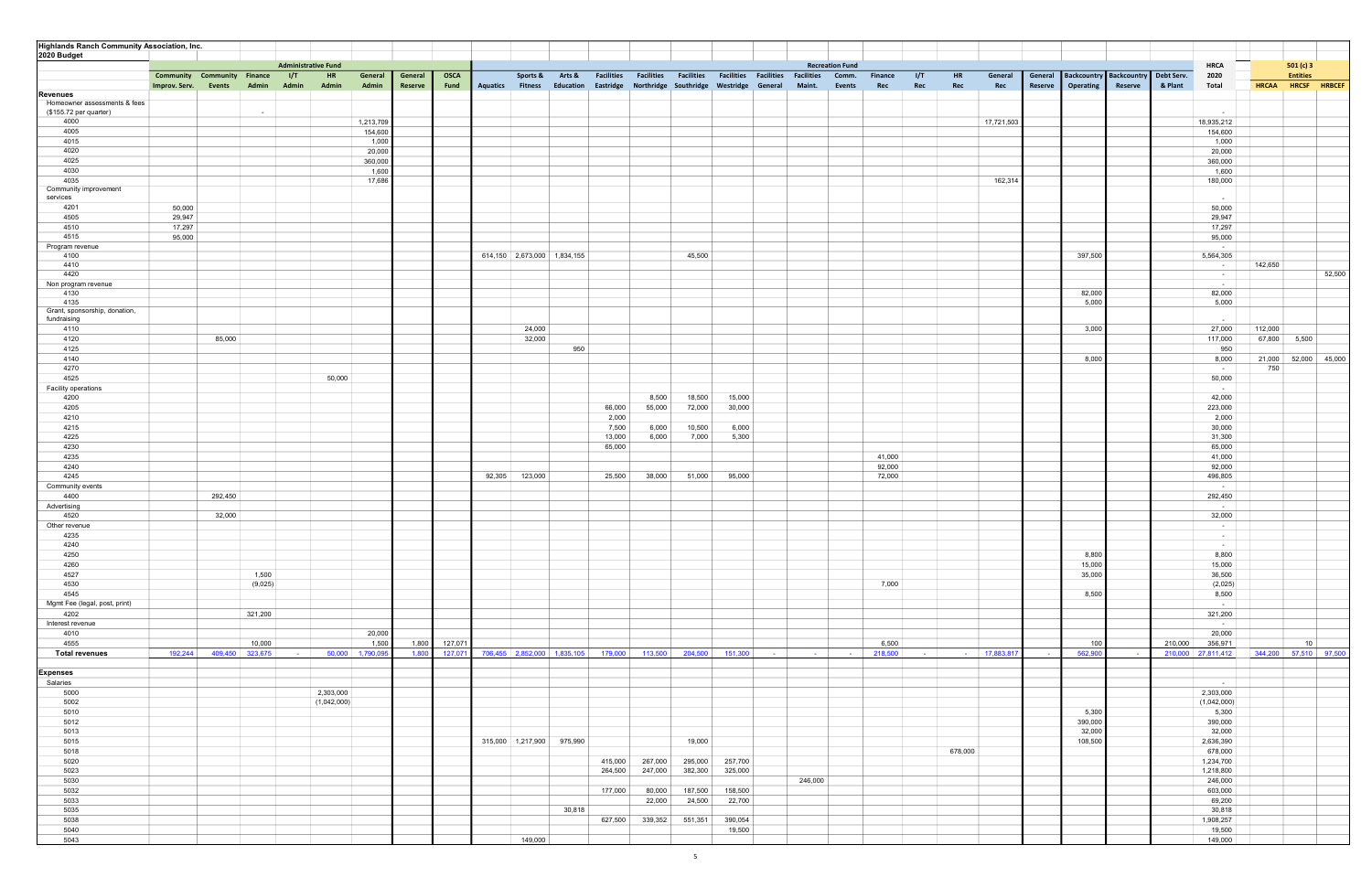| <b>Highlands Ranch Community Association, Inc.</b> |                                    |                 |                            |                 |         |             |                         |                                 |         |         |                                                   |         |                                                                         |                 |                |                          |                              |                  |           |                                    |         |                    |         |                       |        |
|----------------------------------------------------|------------------------------------|-----------------|----------------------------|-----------------|---------|-------------|-------------------------|---------------------------------|---------|---------|---------------------------------------------------|---------|-------------------------------------------------------------------------|-----------------|----------------|--------------------------|------------------------------|------------------|-----------|------------------------------------|---------|--------------------|---------|-----------------------|--------|
| 2020 Budget                                        |                                    |                 |                            |                 |         |             |                         |                                 |         |         |                                                   |         |                                                                         |                 |                |                          |                              |                  |           |                                    |         |                    |         |                       |        |
|                                                    |                                    |                 | <b>Administrative Fund</b> |                 |         |             |                         |                                 |         |         |                                                   |         | <b>Recreation Fund</b>                                                  |                 |                |                          |                              |                  |           |                                    |         | <b>HRCA</b>        |         | 501(c)3               |        |
|                                                    | <b>Community Community Finance</b> |                 | 1/T<br>HR                  | General         | General | <b>OSCA</b> |                         | Sports & Arts &                 |         |         |                                                   |         | Facilities Facilities Facilities Facilities Facilities Facilities Comm. |                 | <b>Finance</b> | I/T<br>HR                | General                      | General          |           | Backcountry Backcountry Debt Serv. |         | 2020               |         | <b>Entities</b>       |        |
|                                                    | Improv. Serv.                      | Admin<br>Events | Admin<br>Admin             | Admin           | Reserve | Fund        | <b>Aquatics</b> Fitness | Education                       |         |         | Eastridge Northridge Southridge Westridge General |         | Maint.                                                                  | <b>Events</b>   | Rec            | Rec<br>Rec               | Rec                          | Reserve          | Operating | Reserve                            | & Plant | Total              |         | HRCAA HRCSF HRBCEF    |        |
| <b>Revenues</b>                                    |                                    |                 |                            |                 |         |             |                         |                                 |         |         |                                                   |         |                                                                         |                 |                |                          |                              |                  |           |                                    |         |                    |         |                       |        |
| Homeowner assessments & fees                       |                                    |                 |                            |                 |         |             |                         |                                 |         |         |                                                   |         |                                                                         |                 |                |                          |                              |                  |           |                                    |         |                    |         |                       |        |
| (\$155.72 per quarter)                             |                                    | $\sim$          |                            |                 |         |             |                         |                                 |         |         |                                                   |         |                                                                         |                 |                |                          |                              |                  |           |                                    |         | $\sim$             |         |                       |        |
| 4000                                               |                                    |                 |                            | 1,213,709       |         |             |                         |                                 |         |         |                                                   |         |                                                                         |                 |                |                          | 17,721,503                   |                  |           |                                    |         | 18,935,212         |         |                       |        |
| 4005                                               |                                    |                 |                            | 154,600         |         |             |                         |                                 |         |         |                                                   |         |                                                                         |                 |                |                          |                              |                  |           |                                    |         | 154,600            |         |                       |        |
| 4015                                               |                                    |                 |                            | 1,000           |         |             |                         |                                 |         |         |                                                   |         |                                                                         |                 |                |                          |                              |                  |           |                                    |         | 1,000              |         |                       |        |
| 4020                                               |                                    |                 |                            | 20,000          |         |             |                         |                                 |         |         |                                                   |         |                                                                         |                 |                |                          |                              |                  |           |                                    |         | 20,000             |         |                       |        |
| 4025                                               |                                    |                 |                            | 360,000         |         |             |                         |                                 |         |         |                                                   |         |                                                                         |                 |                |                          |                              |                  |           |                                    |         | 360,000            |         |                       |        |
| 4030                                               |                                    |                 |                            | 1,600           |         |             |                         |                                 |         |         |                                                   |         |                                                                         |                 |                |                          |                              |                  |           |                                    |         | 1,600              |         |                       |        |
| 4035                                               |                                    |                 |                            | 17,686          |         |             |                         |                                 |         |         |                                                   |         |                                                                         |                 |                |                          | 162,314                      |                  |           |                                    |         | 180,000            |         |                       |        |
| Community improvement<br>services                  |                                    |                 |                            |                 |         |             |                         |                                 |         |         |                                                   |         |                                                                         |                 |                |                          |                              |                  |           |                                    |         | $\sim$             |         |                       |        |
| 4201                                               | 50,000                             |                 |                            |                 |         |             |                         |                                 |         |         |                                                   |         |                                                                         |                 |                |                          |                              |                  |           |                                    |         | 50,000             |         |                       |        |
| 4505                                               | 29,947                             |                 |                            |                 |         |             |                         |                                 |         |         |                                                   |         |                                                                         |                 |                |                          |                              |                  |           |                                    |         | 29,947             |         |                       |        |
| 4510                                               | 17,297                             |                 |                            |                 |         |             |                         |                                 |         |         |                                                   |         |                                                                         |                 |                |                          |                              |                  |           |                                    |         | 17,297             |         |                       |        |
| 4515                                               | 95,000                             |                 |                            |                 |         |             |                         |                                 |         |         |                                                   |         |                                                                         |                 |                |                          |                              |                  |           |                                    |         | 95,000             |         |                       |        |
| Program revenue                                    |                                    |                 |                            |                 |         |             |                         |                                 |         |         |                                                   |         |                                                                         |                 |                |                          |                              |                  |           |                                    |         | $\sim$ $-$         |         |                       |        |
| 4100                                               |                                    |                 |                            |                 |         |             |                         | 614,150   2,673,000   1,834,155 |         |         | 45,500                                            |         |                                                                         |                 |                |                          |                              |                  | 397,500   |                                    |         | 5,564,305          |         |                       |        |
| 4410                                               |                                    |                 |                            |                 |         |             |                         |                                 |         |         |                                                   |         |                                                                         |                 |                |                          |                              |                  |           |                                    |         | $\sim$ $-$         | 142,650 |                       |        |
| 4420                                               |                                    |                 |                            |                 |         |             |                         |                                 |         |         |                                                   |         |                                                                         |                 |                |                          |                              |                  |           |                                    |         | $\sim$ $-$         |         |                       | 52,500 |
| Non program revenue                                |                                    |                 |                            |                 |         |             |                         |                                 |         |         |                                                   |         |                                                                         |                 |                |                          |                              |                  |           |                                    |         | $\sim$ $-$         |         |                       |        |
| 4130                                               |                                    |                 |                            |                 |         |             |                         |                                 |         |         |                                                   |         |                                                                         |                 |                |                          |                              |                  | 82,000    |                                    |         | 82,000             |         |                       |        |
| 4135                                               |                                    |                 |                            |                 |         |             |                         |                                 |         |         |                                                   |         |                                                                         |                 |                |                          |                              |                  | 5,000     |                                    |         | 5,000              |         |                       |        |
| Grant, sponsorship, donation,                      |                                    |                 |                            |                 |         |             |                         |                                 |         |         |                                                   |         |                                                                         |                 |                |                          |                              |                  |           |                                    |         |                    |         |                       |        |
| fundraising                                        |                                    |                 |                            |                 |         |             |                         |                                 |         |         |                                                   |         |                                                                         |                 |                |                          |                              |                  |           |                                    |         | <b>CONTRACTOR</b>  |         |                       |        |
| 4110                                               |                                    |                 |                            |                 |         |             | 24,000                  |                                 |         |         |                                                   |         |                                                                         |                 |                |                          |                              |                  | 3,000     |                                    |         | 27,000             | 112,000 |                       |        |
| 4120                                               |                                    | 85,000          |                            |                 |         |             | 32,000                  |                                 |         |         |                                                   |         |                                                                         |                 |                |                          |                              |                  |           |                                    |         | 117,000            | 67,800  | 5,500                 |        |
| 4125                                               |                                    |                 |                            |                 |         |             |                         | 950                             |         |         |                                                   |         |                                                                         |                 |                |                          |                              |                  |           |                                    |         | 950                |         |                       |        |
| 4140                                               |                                    |                 |                            |                 |         |             |                         |                                 |         |         |                                                   |         |                                                                         |                 |                |                          |                              |                  | 8,000     |                                    |         | 8,000              |         | 21,000 52,000 45,000  |        |
| 4270                                               |                                    |                 |                            |                 |         |             |                         |                                 |         |         |                                                   |         |                                                                         |                 |                |                          |                              |                  |           |                                    |         | $\sim$             | 750     |                       |        |
| 4525                                               |                                    |                 |                            | 50,000          |         |             |                         |                                 |         |         |                                                   |         |                                                                         |                 |                |                          |                              |                  |           |                                    |         | 50,000             |         |                       |        |
| Facility operations                                |                                    |                 |                            |                 |         |             |                         |                                 |         |         |                                                   |         |                                                                         |                 |                |                          |                              |                  |           |                                    |         | $\sim$ $-$         |         |                       |        |
| 4200                                               |                                    |                 |                            |                 |         |             |                         |                                 |         | 8,500   | 18,500                                            | 15,000  |                                                                         |                 |                |                          |                              |                  |           |                                    |         | 42,000             |         |                       |        |
| 4205                                               |                                    |                 |                            |                 |         |             |                         |                                 | 66,000  | 55,000  | 72,000                                            | 30,000  |                                                                         |                 |                |                          |                              |                  |           |                                    |         | 223,000            |         |                       |        |
| 4210                                               |                                    |                 |                            |                 |         |             |                         |                                 | 2,000   |         |                                                   |         |                                                                         |                 |                |                          |                              |                  |           |                                    |         | 2,000              |         |                       |        |
| 4215                                               |                                    |                 |                            |                 |         |             |                         |                                 | 7,500   | 6,000   | 10,500                                            | 6,000   |                                                                         |                 |                |                          |                              |                  |           |                                    |         | 30,000             |         |                       |        |
| 4225                                               |                                    |                 |                            |                 |         |             |                         |                                 | 13,000  | 6,000   | 7,000                                             | 5,300   |                                                                         |                 |                |                          |                              |                  |           |                                    |         | 31,300             |         |                       |        |
| 4230                                               |                                    |                 |                            |                 |         |             |                         |                                 | 65,000  |         |                                                   |         |                                                                         |                 |                |                          |                              |                  |           |                                    |         | 65,000             |         |                       |        |
| 4235                                               |                                    |                 |                            |                 |         |             |                         |                                 |         |         |                                                   |         |                                                                         |                 | 41,000         |                          |                              |                  |           |                                    |         | 41,000             |         |                       |        |
| 4240                                               |                                    |                 |                            |                 |         |             |                         |                                 |         |         |                                                   |         |                                                                         |                 | 92,000         |                          |                              |                  |           |                                    |         | 92,000             |         |                       |        |
| 4245                                               |                                    |                 |                            |                 |         |             | 92,305 123,000          |                                 | 25,500  | 38,000  | 51,000                                            | 95,000  |                                                                         |                 | 72,000         |                          |                              |                  |           |                                    |         | 496,805            |         |                       |        |
| Community events                                   |                                    |                 |                            |                 |         |             |                         |                                 |         |         |                                                   |         |                                                                         |                 |                |                          |                              |                  |           |                                    |         | $\sim 10^{-1}$     |         |                       |        |
| 4400                                               |                                    | 292,450         |                            |                 |         |             |                         |                                 |         |         |                                                   |         |                                                                         |                 |                |                          |                              |                  |           |                                    |         | 292,450            |         |                       |        |
| Advertising                                        |                                    |                 |                            |                 |         |             |                         |                                 |         |         |                                                   |         |                                                                         |                 |                |                          |                              |                  |           |                                    |         | $\sim$ $-$         |         |                       |        |
| 4520                                               |                                    | 32,000          |                            |                 |         |             |                         |                                 |         |         |                                                   |         |                                                                         |                 |                |                          |                              |                  |           |                                    |         | 32,000             |         |                       |        |
| Other revenue                                      |                                    |                 |                            |                 |         |             |                         |                                 |         |         |                                                   |         |                                                                         |                 |                |                          |                              |                  |           |                                    |         | $\sim$ $-$         |         |                       |        |
| 4235                                               |                                    |                 |                            |                 |         |             |                         |                                 |         |         |                                                   |         |                                                                         |                 |                |                          |                              |                  |           |                                    |         | $\sim 10^{-1}$     |         |                       |        |
| 4240                                               |                                    |                 |                            |                 |         |             |                         |                                 |         |         |                                                   |         |                                                                         |                 |                |                          |                              |                  |           |                                    |         | $\sim 100$         |         |                       |        |
| 4250                                               |                                    |                 |                            |                 |         |             |                         |                                 |         |         |                                                   |         |                                                                         |                 |                |                          |                              |                  | 8,800     |                                    |         | 8,800              |         |                       |        |
| 4260                                               |                                    |                 |                            |                 |         |             |                         |                                 |         |         |                                                   |         |                                                                         |                 |                |                          |                              |                  | 15,000    |                                    |         | 15,000             |         |                       |        |
| 4527                                               |                                    | 1,500           |                            |                 |         |             |                         |                                 |         |         |                                                   |         |                                                                         |                 |                |                          |                              |                  | 35,000    |                                    |         | 36,500             |         |                       |        |
| 4530                                               |                                    | (9,025)         |                            |                 |         |             |                         |                                 |         |         |                                                   |         |                                                                         |                 | 7,000          |                          |                              |                  |           |                                    |         | (2,025)<br>8,500   |         |                       |        |
| 4545<br>Mgmt Fee (legal, post, print)              |                                    |                 |                            |                 |         |             |                         |                                 |         |         |                                                   |         |                                                                         |                 |                |                          |                              |                  | 8,500     |                                    |         |                    |         |                       |        |
|                                                    |                                    | 321,200         |                            |                 |         |             |                         |                                 |         |         |                                                   |         |                                                                         |                 |                |                          |                              |                  |           |                                    |         | $\sim$<br>321,200  |         |                       |        |
| 4202                                               |                                    |                 |                            |                 |         |             |                         |                                 |         |         |                                                   |         |                                                                         |                 |                |                          |                              |                  |           |                                    |         | $\sim$ 100 $\pm$   |         |                       |        |
| Interest revenue                                   |                                    |                 |                            | 20,000          |         |             |                         |                                 |         |         |                                                   |         |                                                                         |                 |                |                          |                              |                  |           |                                    |         | 20,000             |         |                       |        |
| 4010<br>4555                                       |                                    | 10,000          |                            | 1,500           | 1,800   | 127,071     |                         |                                 |         |         |                                                   |         |                                                                         |                 | 6,500          |                          |                              |                  | 100       |                                    | 210,000 | 356,971            |         | 10                    |        |
| <b>Total revenues</b>                              | 192,244                            | 409,450 323,675 | <b>Contract Contract</b>   | 50,000 1,790,09 | 1,800   | 127,071     |                         | 706,455 2,852,000 1,835,105     | 179,000 | 113,500 | 204,500                                           | 151,300 | <b>Contract</b>                                                         | <b>Contract</b> | 218,500        | <b>Contract Contract</b> | 17,883,81<br><b>Contract</b> | $\sim$ 100 $\pm$ | 562,900   |                                    |         | 210,000 27,811,412 |         | 344,200 57,510 97,500 |        |
|                                                    |                                    |                 |                            |                 |         |             |                         |                                 |         |         |                                                   |         |                                                                         |                 |                |                          |                              |                  |           |                                    |         |                    |         |                       |        |
| <b>Expenses</b>                                    |                                    |                 |                            |                 |         |             |                         |                                 |         |         |                                                   |         |                                                                         |                 |                |                          |                              |                  |           |                                    |         |                    |         |                       |        |
| Salaries                                           |                                    |                 |                            |                 |         |             |                         |                                 |         |         |                                                   |         |                                                                         |                 |                |                          |                              |                  |           |                                    |         | $\sim$ $-$         |         |                       |        |
| 5000                                               |                                    |                 | 2,303,000                  |                 |         |             |                         |                                 |         |         |                                                   |         |                                                                         |                 |                |                          |                              |                  |           |                                    |         | 2,303,000          |         |                       |        |
| 5002                                               |                                    |                 |                            | (1,042,000)     |         |             |                         |                                 |         |         |                                                   |         |                                                                         |                 |                |                          |                              |                  |           |                                    |         | (1,042,000)        |         |                       |        |
| 5010                                               |                                    |                 |                            |                 |         |             |                         |                                 |         |         |                                                   |         |                                                                         |                 |                |                          |                              |                  | 5,300     |                                    |         | 5,300              |         |                       |        |
| 5012                                               |                                    |                 |                            |                 |         |             |                         |                                 |         |         |                                                   |         |                                                                         |                 |                |                          |                              |                  | 390,000   |                                    |         | 390,000            |         |                       |        |
| 5013                                               |                                    |                 |                            |                 |         |             |                         |                                 |         |         |                                                   |         |                                                                         |                 |                |                          |                              |                  | 32,000    |                                    |         | 32,000             |         |                       |        |
| 5015                                               |                                    |                 |                            |                 |         |             |                         | 315,000 1,217,900 975,990       |         |         | 19,000                                            |         |                                                                         |                 |                |                          |                              |                  | 108,500   |                                    |         | 2,636,390          |         |                       |        |
| 5018                                               |                                    |                 |                            |                 |         |             |                         |                                 |         |         |                                                   |         |                                                                         |                 |                | 678,000                  |                              |                  |           |                                    |         | 678,000            |         |                       |        |
| 5020                                               |                                    |                 |                            |                 |         |             |                         |                                 | 415,000 | 267,000 | 295,000                                           | 257,700 |                                                                         |                 |                |                          |                              |                  |           |                                    |         | 1,234,700          |         |                       |        |
| 5023                                               |                                    |                 |                            |                 |         |             |                         |                                 | 264,500 | 247,000 | 382,300                                           | 325,000 |                                                                         |                 |                |                          |                              |                  |           |                                    |         | 1,218,800          |         |                       |        |
| 5030                                               |                                    |                 |                            |                 |         |             |                         |                                 |         |         |                                                   |         | 246,000                                                                 |                 |                |                          |                              |                  |           |                                    |         | 246,000            |         |                       |        |
| 5032                                               |                                    |                 |                            |                 |         |             |                         |                                 | 177,000 | 80,000  | 187,500                                           | 158,500 |                                                                         |                 |                |                          |                              |                  |           |                                    |         | 603,000            |         |                       |        |
| 5033                                               |                                    |                 |                            |                 |         |             |                         |                                 |         | 22,000  | 24,500                                            | 22,700  |                                                                         |                 |                |                          |                              |                  |           |                                    |         | 69,200             |         |                       |        |
| 5035                                               |                                    |                 |                            |                 |         |             |                         | 30,818                          |         |         |                                                   |         |                                                                         |                 |                |                          |                              |                  |           |                                    |         | 30,818             |         |                       |        |
| 5038                                               |                                    |                 |                            |                 |         |             |                         |                                 | 627,500 | 339,352 | 551,351                                           | 390,054 |                                                                         |                 |                |                          |                              |                  |           |                                    |         | 1,908,257          |         |                       |        |
| 5040                                               |                                    |                 |                            |                 |         |             |                         |                                 |         |         |                                                   | 19,500  |                                                                         |                 |                |                          |                              |                  |           |                                    |         | 19,500             |         |                       |        |
| 5043                                               |                                    |                 |                            |                 |         |             | 149,000                 |                                 |         |         |                                                   |         |                                                                         |                 |                |                          |                              |                  |           |                                    |         | 149,000            |         |                       |        |
|                                                    |                                    |                 |                            |                 |         |             |                         |                                 |         |         |                                                   |         |                                                                         |                 |                |                          |                              |                  |           |                                    |         |                    |         |                       |        |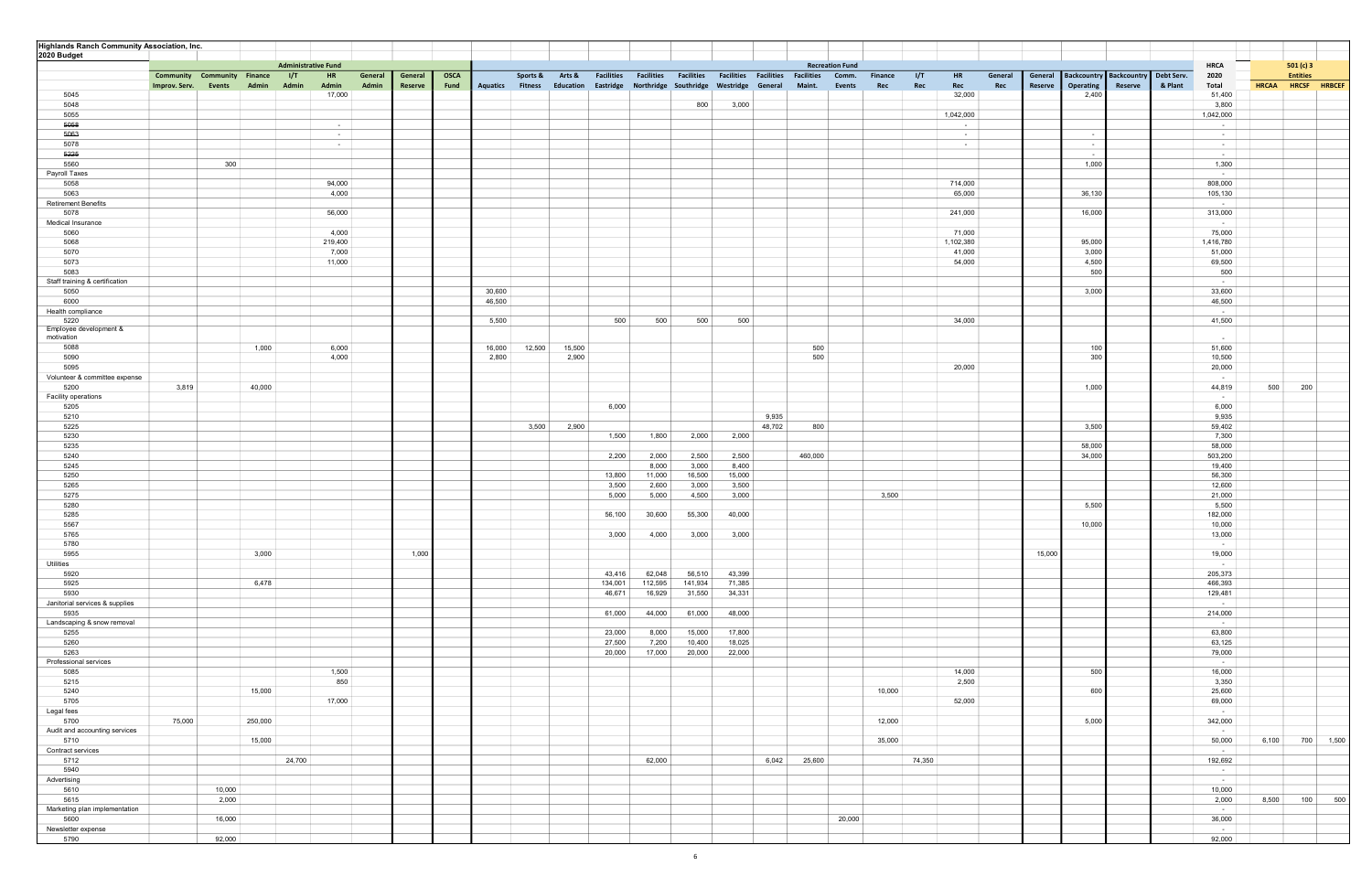| <b>Highlands Ranch Community Association, Inc.</b> |                                    |                                                           |         |             |                  |                         |           |                   |                   |                   |                                                   |        |                                 |                |                         |         |         |                          |                           |                                   |       |                            |
|----------------------------------------------------|------------------------------------|-----------------------------------------------------------|---------|-------------|------------------|-------------------------|-----------|-------------------|-------------------|-------------------|---------------------------------------------------|--------|---------------------------------|----------------|-------------------------|---------|---------|--------------------------|---------------------------|-----------------------------------|-------|----------------------------|
| 2020 Budget                                        |                                    |                                                           |         |             |                  |                         |           |                   |                   |                   |                                                   |        |                                 |                |                         |         |         |                          |                           |                                   |       |                            |
|                                                    | <b>Community Community Finance</b> | <b>Administrative Fund</b><br>1/T<br><b>HR</b><br>General | General | <b>OSCA</b> |                  | Sports &                | Arts &    | <b>Facilities</b> | <b>Facilities</b> | <b>Facilities</b> | <b>Facilities Facilities Facilities</b>           |        | <b>Recreation Fund</b><br>Comm. | <b>Finance</b> | <b>I/T</b><br><b>HR</b> | General | General |                          | Backcountry   Backcountry | <b>HRCA</b><br>Debt Serv.<br>2020 |       | 501(c)3<br><b>Entities</b> |
|                                                    | Events<br>Admin<br>Improv. Serv.   | Admin<br>Admin<br>Admin                                   | Reserve | Fund        |                  | <b>Aquatics Fitness</b> | Education |                   |                   |                   | Eastridge Northridge Southridge Westridge General |        | Maint.<br><b>Events</b>         | Rec            | Rec<br>Rec              | Rec     | Reserve | Operating                | Reserve                   | & Plant<br>Total                  |       | HRCAA HRCSF HRBCEF         |
| 5045                                               |                                    | 17,000                                                    |         |             |                  |                         |           |                   |                   |                   |                                                   |        |                                 |                | 32,000                  |         |         | 2,400                    |                           | 51,400                            |       |                            |
| 5048                                               |                                    |                                                           |         |             |                  |                         |           |                   |                   | 800               | 3,000                                             |        |                                 |                |                         |         |         |                          |                           | 3,800                             |       |                            |
| 5055<br>5058                                       |                                    | $\sim$ $-$                                                |         |             |                  |                         |           |                   |                   |                   |                                                   |        |                                 |                | 1,042,000<br>$\sim$     |         |         |                          |                           | 1,042,000<br>$\sim$               |       |                            |
| 5063                                               |                                    | $\sim$                                                    |         |             |                  |                         |           |                   |                   |                   |                                                   |        |                                 |                | $\sim$ $ \sim$          |         |         | $\sim$                   |                           | $\sim$                            |       |                            |
| 5078                                               |                                    | $\sim 100$                                                |         |             |                  |                         |           |                   |                   |                   |                                                   |        |                                 |                | $\sim$ 100 $\mu$        |         |         | $\overline{\phantom{a}}$ |                           | $\sim$ $-$                        |       |                            |
| 5225                                               |                                    |                                                           |         |             |                  |                         |           |                   |                   |                   |                                                   |        |                                 |                |                         |         |         |                          |                           | $\sim$ $-$                        |       |                            |
| 5560<br>Payroll Taxes                              | 300                                |                                                           |         |             |                  |                         |           |                   |                   |                   |                                                   |        |                                 |                |                         |         |         | 1,000                    |                           | 1,300<br>$\sim$                   |       |                            |
| 5058                                               |                                    | 94,000                                                    |         |             |                  |                         |           |                   |                   |                   |                                                   |        |                                 |                | 714,000                 |         |         |                          |                           | 808,000                           |       |                            |
| 5063<br><b>Retirement Benefits</b>                 |                                    | 4,000                                                     |         |             |                  |                         |           |                   |                   |                   |                                                   |        |                                 |                | 65,000                  |         |         | 36,130                   |                           | 105,130<br>$\sim$ $-$             |       |                            |
| 5078                                               |                                    | 56,000                                                    |         |             |                  |                         |           |                   |                   |                   |                                                   |        |                                 |                | 241,000                 |         |         | 16,000                   |                           | 313,000                           |       |                            |
| Medical Insurance                                  |                                    |                                                           |         |             |                  |                         |           |                   |                   |                   |                                                   |        |                                 |                |                         |         |         |                          |                           | $\sim$ $-$                        |       |                            |
| 5060<br>5068                                       |                                    | 4,000<br>219,400                                          |         |             |                  |                         |           |                   |                   |                   |                                                   |        |                                 |                | 71,000<br>1,102,380     |         |         | 95,000                   |                           | 75,000<br>1,416,780               |       |                            |
| 5070                                               |                                    | 7,000                                                     |         |             |                  |                         |           |                   |                   |                   |                                                   |        |                                 |                | 41,000                  |         |         | 3,000                    |                           | 51,000                            |       |                            |
| 5073                                               |                                    | 11,000                                                    |         |             |                  |                         |           |                   |                   |                   |                                                   |        |                                 |                | 54,000                  |         |         | 4,500                    |                           | 69,500                            |       |                            |
| 5083                                               |                                    |                                                           |         |             |                  |                         |           |                   |                   |                   |                                                   |        |                                 |                |                         |         |         | 500                      |                           | 500                               |       |                            |
| Staff training & certification                     |                                    |                                                           |         |             |                  |                         |           |                   |                   |                   |                                                   |        |                                 |                |                         |         |         |                          |                           | $\sim$ $-$                        |       |                            |
| 5050<br>6000                                       |                                    |                                                           |         |             | 30,600<br>46,500 |                         |           |                   |                   |                   |                                                   |        |                                 |                |                         |         |         | 3,000                    |                           | 33,600<br>46,500                  |       |                            |
| Health compliance                                  |                                    |                                                           |         |             |                  |                         |           |                   |                   |                   |                                                   |        |                                 |                |                         |         |         |                          |                           | $\sim$ $-$                        |       |                            |
| 5220                                               |                                    |                                                           |         |             | 5,500            |                         |           | 500               | 500               | 500               | 500                                               |        |                                 |                | 34,000                  |         |         |                          |                           | 41,500                            |       |                            |
| Employee development &<br>motivation               |                                    |                                                           |         |             |                  |                         |           |                   |                   |                   |                                                   |        |                                 |                |                         |         |         |                          |                           | $\sim$                            |       |                            |
| 5088                                               | 1,000                              | 6,000                                                     |         |             | 16,000           | 12,500                  | 15,500    |                   |                   |                   |                                                   |        | 500                             |                |                         |         |         | 100                      |                           | 51,600                            |       |                            |
| 5090                                               |                                    | 4,000                                                     |         |             | 2,800            |                         | 2,900     |                   |                   |                   |                                                   |        | 500                             |                |                         |         |         | 300                      |                           | 10,500                            |       |                            |
| 5095                                               |                                    |                                                           |         |             |                  |                         |           |                   |                   |                   |                                                   |        |                                 |                | 20,000                  |         |         |                          |                           | 20,000                            |       |                            |
| Volunteer & committee expense                      |                                    |                                                           |         |             |                  |                         |           |                   |                   |                   |                                                   |        |                                 |                |                         |         |         |                          |                           | $\sim 10^{-1}$                    |       |                            |
| 5200<br>Facility operations                        | 3,819<br>40,000                    |                                                           |         |             |                  |                         |           |                   |                   |                   |                                                   |        |                                 |                |                         |         |         | 1,000                    |                           | 44,819<br>$\sim$ 100 $\mu$        | 500   | 200                        |
| 5205                                               |                                    |                                                           |         |             |                  |                         |           | 6,000             |                   |                   |                                                   |        |                                 |                |                         |         |         |                          |                           | 6,000                             |       |                            |
| 5210                                               |                                    |                                                           |         |             |                  |                         |           |                   |                   |                   |                                                   | 9,935  |                                 |                |                         |         |         |                          |                           | 9,935                             |       |                            |
| 5225                                               |                                    |                                                           |         |             |                  | 3,500                   | 2,900     |                   |                   |                   |                                                   | 48,702 | 800                             |                |                         |         |         | 3,500                    |                           | 59,402                            |       |                            |
| 5230<br>5235                                       |                                    |                                                           |         |             |                  |                         |           | 1,500             | 1,800             | 2,000             | 2,000                                             |        |                                 |                |                         |         |         | 58,000                   |                           | 7,300<br>58,000                   |       |                            |
| 5240                                               |                                    |                                                           |         |             |                  |                         |           | 2,200             | 2,000             | 2,500             | 2,500                                             |        | 460,000                         |                |                         |         |         | 34,000                   |                           | 503,200                           |       |                            |
| 5245                                               |                                    |                                                           |         |             |                  |                         |           |                   | 8,000             | 3,000             | 8,400                                             |        |                                 |                |                         |         |         |                          |                           | 19,400                            |       |                            |
| 5250                                               |                                    |                                                           |         |             |                  |                         |           | 13,800            | 11,000            | 16,500            | 15,000                                            |        |                                 |                |                         |         |         |                          |                           | 56,300                            |       |                            |
| 5265                                               |                                    |                                                           |         |             |                  |                         |           | 3,500             | 2,600             | 3,000             | 3,500                                             |        |                                 |                |                         |         |         |                          |                           | 12,600                            |       |                            |
| 5275<br>5280                                       |                                    |                                                           |         |             |                  |                         |           | 5,000             | 5,000             | 4,500             | 3,000                                             |        |                                 | 3,500          |                         |         |         | 5,500                    |                           | 21,000<br>5,500                   |       |                            |
| 5285                                               |                                    |                                                           |         |             |                  |                         |           | 56,100            | 30,600            | 55,300            | 40,000                                            |        |                                 |                |                         |         |         |                          |                           | 182,000                           |       |                            |
| 5567                                               |                                    |                                                           |         |             |                  |                         |           |                   |                   |                   |                                                   |        |                                 |                |                         |         |         | 10,000                   |                           | 10,000                            |       |                            |
| 5765                                               |                                    |                                                           |         |             |                  |                         |           | 3,000             | 4,000             | 3,000             | 3,000                                             |        |                                 |                |                         |         |         |                          |                           | 13,000                            |       |                            |
| 5780<br>5955                                       | 3,000                              |                                                           | 1,000   |             |                  |                         |           |                   |                   |                   |                                                   |        |                                 |                |                         |         | 15,000  |                          |                           | $\sim$<br>19,000                  |       |                            |
| <b>Utilities</b>                                   |                                    |                                                           |         |             |                  |                         |           |                   |                   |                   |                                                   |        |                                 |                |                         |         |         |                          |                           | $\sim$ $-$                        |       |                            |
| 5920                                               |                                    |                                                           |         |             |                  |                         |           | 43,416            | 62,048            | 56,510            | 43,399                                            |        |                                 |                |                         |         |         |                          |                           | 205,373                           |       |                            |
| 5925                                               | 6,478                              |                                                           |         |             |                  |                         |           | 134,001           | 112,595           | 141,934           | 71,385                                            |        |                                 |                |                         |         |         |                          |                           | 466,393                           |       |                            |
| 5930<br>Janitorial services & supplies             |                                    |                                                           |         |             |                  |                         |           | 46,671            | 16,929            | 31,550            | 34,331                                            |        |                                 |                |                         |         |         |                          |                           | 129,481<br>$\sim$                 |       |                            |
| 5935                                               |                                    |                                                           |         |             |                  |                         |           | 61,000            | 44,000            | 61,000            | 48,000                                            |        |                                 |                |                         |         |         |                          |                           | 214,000                           |       |                            |
| Landscaping & snow removal                         |                                    |                                                           |         |             |                  |                         |           |                   |                   |                   |                                                   |        |                                 |                |                         |         |         |                          |                           | $\sim$ $-$                        |       |                            |
| 5255                                               |                                    |                                                           |         |             |                  |                         |           | 23,000            | 8,000             | 15,000            | 17,800                                            |        |                                 |                |                         |         |         |                          |                           | 63,800                            |       |                            |
| 5260                                               |                                    |                                                           |         |             |                  |                         |           | 27,500            | 7,200             | 10,400            | 18,025                                            |        |                                 |                |                         |         |         |                          |                           | 63,125                            |       |                            |
| 5263<br>Professional services                      |                                    |                                                           |         |             |                  |                         |           | 20,000            | 17,000            | 20,000            | 22,000                                            |        |                                 |                |                         |         |         |                          |                           | 79,000<br>$\sim 10^{-1}$          |       |                            |
| 5085                                               |                                    | 1,500                                                     |         |             |                  |                         |           |                   |                   |                   |                                                   |        |                                 |                | 14,000                  |         |         | 500                      |                           | 16,000                            |       |                            |
| 5215                                               |                                    | 850                                                       |         |             |                  |                         |           |                   |                   |                   |                                                   |        |                                 |                | 2,500                   |         |         |                          |                           | 3,350                             |       |                            |
| 5240                                               | 15,000                             |                                                           |         |             |                  |                         |           |                   |                   |                   |                                                   |        |                                 | 10,000         |                         |         |         | 600                      |                           | 25,600                            |       |                            |
| 5705                                               |                                    | 17,000                                                    |         |             |                  |                         |           |                   |                   |                   |                                                   |        |                                 |                | 52,000                  |         |         |                          |                           | 69,000                            |       |                            |
| Legal fees<br>5700                                 | 250,000<br>75,000                  |                                                           |         |             |                  |                         |           |                   |                   |                   |                                                   |        |                                 | 12,000         |                         |         |         | 5,000                    |                           | $\sim$ $-$<br>342,000             |       |                            |
| Audit and accounting services                      |                                    |                                                           |         |             |                  |                         |           |                   |                   |                   |                                                   |        |                                 |                |                         |         |         |                          |                           | $\sim$                            |       |                            |
| 5710                                               | 15,000                             |                                                           |         |             |                  |                         |           |                   |                   |                   |                                                   |        |                                 | 35,000         |                         |         |         |                          |                           | 50,000                            | 6,100 | 700 1,500                  |
| Contract services                                  |                                    |                                                           |         |             |                  |                         |           |                   |                   |                   |                                                   |        |                                 |                |                         |         |         |                          |                           | $\sim$                            |       |                            |
| 5712<br>5940                                       |                                    | 24,700                                                    |         |             |                  |                         |           |                   | 62,000            |                   |                                                   | 6,042  | 25,600                          |                | 74,350                  |         |         |                          |                           | 192,692                           |       |                            |
| Advertising                                        |                                    |                                                           |         |             |                  |                         |           |                   |                   |                   |                                                   |        |                                 |                |                         |         |         |                          |                           | $\sim$<br>$\sim$ 100 $\mu$        |       |                            |
| 5610                                               | 10,000                             |                                                           |         |             |                  |                         |           |                   |                   |                   |                                                   |        |                                 |                |                         |         |         |                          |                           | 10,000                            |       |                            |
| 5615                                               | 2,000                              |                                                           |         |             |                  |                         |           |                   |                   |                   |                                                   |        |                                 |                |                         |         |         |                          |                           | 2,000                             | 8,500 | 100<br>500                 |
| Marketing plan implementation                      |                                    |                                                           |         |             |                  |                         |           |                   |                   |                   |                                                   |        |                                 |                |                         |         |         |                          |                           | $\sim$ $-$                        |       |                            |
| 5600                                               | 16,000                             |                                                           |         |             |                  |                         |           |                   |                   |                   |                                                   |        | 20,000                          |                |                         |         |         |                          |                           | 36,000                            |       |                            |
| Newsletter expense<br>5790                         | 92,000                             |                                                           |         |             |                  |                         |           |                   |                   |                   |                                                   |        |                                 |                |                         |         |         |                          |                           | $\sim$ $-$<br>92,000              |       |                            |
|                                                    |                                    |                                                           |         |             |                  |                         |           |                   |                   |                   |                                                   |        |                                 |                |                         |         |         |                          |                           |                                   |       |                            |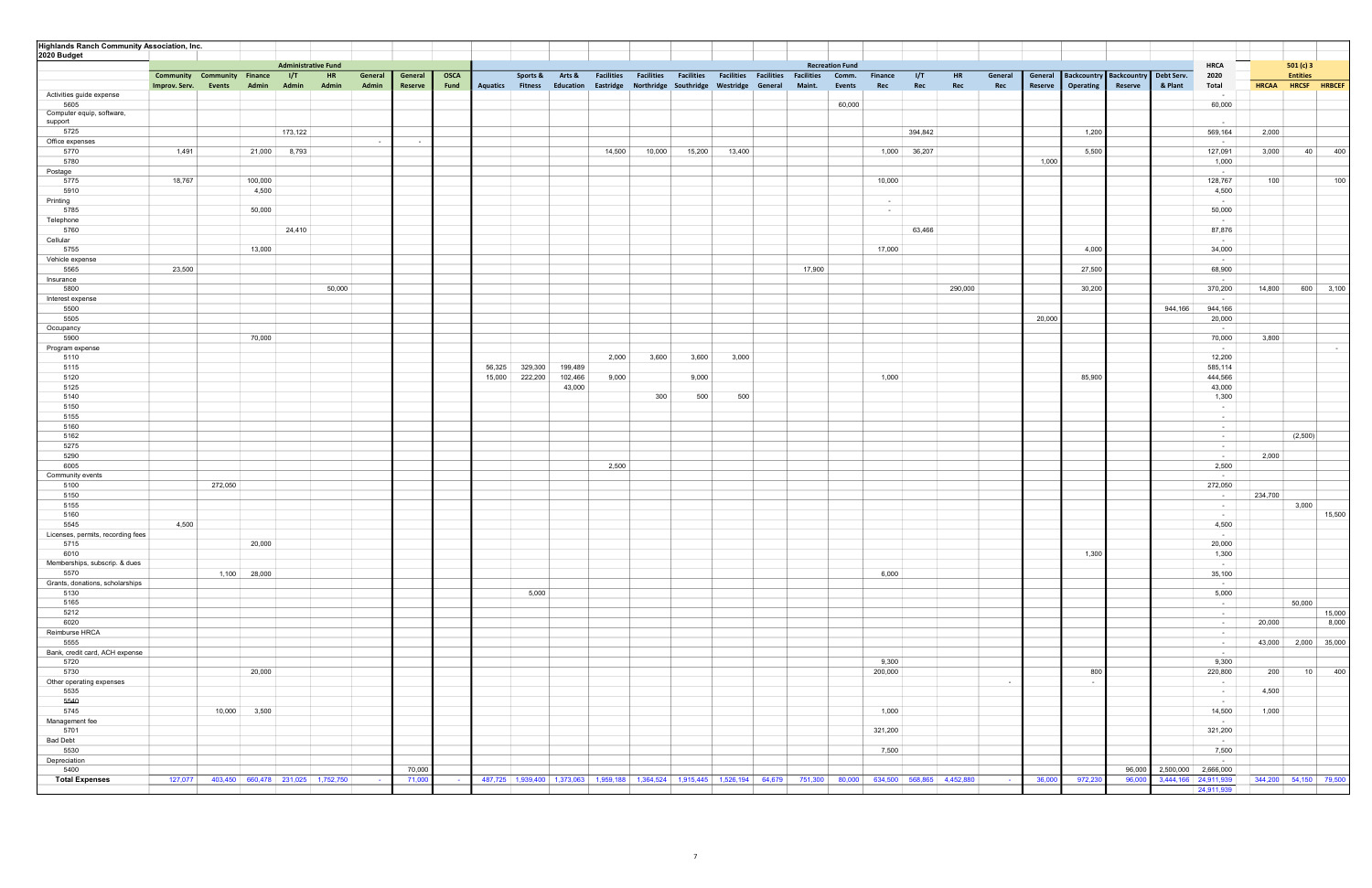| <b>Highlands Ranch Community Association, Inc.</b> |               |                                    |            |                            |            |         |             |        |                         |                 |        |        |                                                   |        |                                                                                                                     |                        |                |              |           |                    |                          |                                    |                      |                            |              |                       |
|----------------------------------------------------|---------------|------------------------------------|------------|----------------------------|------------|---------|-------------|--------|-------------------------|-----------------|--------|--------|---------------------------------------------------|--------|---------------------------------------------------------------------------------------------------------------------|------------------------|----------------|--------------|-----------|--------------------|--------------------------|------------------------------------|----------------------|----------------------------|--------------|-----------------------|
| 2020 Budget                                        |               |                                    |            |                            |            |         |             |        |                         |                 |        |        |                                                   |        |                                                                                                                     |                        |                |              |           |                    |                          |                                    |                      |                            |              |                       |
|                                                    |               |                                    |            | <b>Administrative Fund</b> |            |         |             |        |                         |                 |        |        |                                                   |        |                                                                                                                     | <b>Recreation Fund</b> |                |              |           |                    |                          |                                    |                      | <b>HRCA</b>                |              | 501(c)3               |
|                                                    |               | <b>Community Community Finance</b> | <b>I/T</b> | HR                         | General    | General | <b>OSCA</b> |        |                         | Sports & Arts & |        |        |                                                   |        | Facilities Facilities Facilities Facilities Facilities Facilities Comm.                                             |                        | <b>Finance</b> | I/T          | <b>HR</b> | General<br>General |                          | Backcountry Backcountry Debt Serv. |                      | 2020                       |              | <b>Entities</b>       |
|                                                    | Improv. Serv. | Admin<br>Events                    | Admin      | Admin                      | Admin      | Reserve | Fund        |        | <b>Aquatics Fitness</b> | Education       |        |        | Eastridge Northridge Southridge Westridge General |        | Maint.                                                                                                              | Events                 | Rec            | Rec          | Rec       | Reserve<br>Rec     | Operating                | Reserve                            | & Plant              | Total                      | <b>HRCAA</b> | HRCSF HRBCEF          |
| Activities guide expense                           |               |                                    |            |                            |            |         |             |        |                         |                 |        |        |                                                   |        |                                                                                                                     | 60,000                 |                |              |           |                    |                          |                                    |                      | $\sim$                     |              |                       |
| 5605<br>Computer equip, software,                  |               |                                    |            |                            |            |         |             |        |                         |                 |        |        |                                                   |        |                                                                                                                     |                        |                |              |           |                    |                          |                                    |                      | 60,000                     |              |                       |
| support                                            |               |                                    |            |                            |            |         |             |        |                         |                 |        |        |                                                   |        |                                                                                                                     |                        |                |              |           |                    |                          |                                    |                      |                            |              |                       |
| 5725                                               |               |                                    | 173,122    |                            |            |         |             |        |                         |                 |        |        |                                                   |        |                                                                                                                     |                        |                | 394,842      |           |                    | 1,200                    |                                    |                      | 569,164                    | 2,000        |                       |
| Office expenses                                    |               |                                    |            |                            | $\sim$ $-$ | $\sim$  |             |        |                         |                 |        |        |                                                   |        |                                                                                                                     |                        |                |              |           |                    |                          |                                    |                      | $\sim$                     |              |                       |
| 5770                                               | 1,491         | 21,000                             | 8,793      |                            |            |         |             |        |                         |                 | 14,500 | 10,000 | 15,200                                            | 13,400 |                                                                                                                     |                        |                | 1,000 36,207 |           |                    | 5,500                    |                                    |                      | 127,091                    | 3,000        | 40<br>400             |
| 5780<br>Postage                                    |               |                                    |            |                            |            |         |             |        |                         |                 |        |        |                                                   |        |                                                                                                                     |                        |                |              |           | 1,000              |                          |                                    |                      | 1,000<br>$\sim$            |              |                       |
| 5775                                               | 18,767        | 100,000                            |            |                            |            |         |             |        |                         |                 |        |        |                                                   |        |                                                                                                                     |                        | 10,000         |              |           |                    |                          |                                    |                      | 128,767                    | 100          | 100                   |
| 5910                                               |               | 4,500                              |            |                            |            |         |             |        |                         |                 |        |        |                                                   |        |                                                                                                                     |                        |                |              |           |                    |                          |                                    |                      | 4,500                      |              |                       |
| Printing                                           |               |                                    |            |                            |            |         |             |        |                         |                 |        |        |                                                   |        |                                                                                                                     |                        | $\sim$         |              |           |                    |                          |                                    |                      | $\sim$ $-$                 |              |                       |
| 5785                                               |               | 50,000                             |            |                            |            |         |             |        |                         |                 |        |        |                                                   |        |                                                                                                                     |                        | $\sim 100$     |              |           |                    |                          |                                    |                      | 50,000                     |              |                       |
| Telephone                                          |               |                                    |            |                            |            |         |             |        |                         |                 |        |        |                                                   |        |                                                                                                                     |                        |                |              |           |                    |                          |                                    |                      | $\sim$ $-$                 |              |                       |
| 5760                                               |               |                                    | 24,410     |                            |            |         |             |        |                         |                 |        |        |                                                   |        |                                                                                                                     |                        |                | 63,466       |           |                    |                          |                                    |                      | 87,876                     |              |                       |
| Cellular                                           |               |                                    |            |                            |            |         |             |        |                         |                 |        |        |                                                   |        |                                                                                                                     |                        |                |              |           |                    |                          |                                    |                      | $\sim$                     |              |                       |
| 5755                                               |               | 13,000                             |            |                            |            |         |             |        |                         |                 |        |        |                                                   |        |                                                                                                                     |                        | 17,000         |              |           |                    | 4,000                    |                                    |                      | 34,000                     |              |                       |
| Vehicle expense<br>5565                            | 23,500        |                                    |            |                            |            |         |             |        |                         |                 |        |        |                                                   |        | 17,900                                                                                                              |                        |                |              |           |                    | 27,500                   |                                    |                      | $\sim$<br>68,900           |              |                       |
| Insurance                                          |               |                                    |            |                            |            |         |             |        |                         |                 |        |        |                                                   |        |                                                                                                                     |                        |                |              |           |                    |                          |                                    |                      | $\sim$ 100 $\mu$           |              |                       |
| 5800                                               |               |                                    |            | 50,000                     |            |         |             |        |                         |                 |        |        |                                                   |        |                                                                                                                     |                        |                |              | 290,000   |                    | 30,200                   |                                    |                      | 370,200                    | 14,800       | 600 3,100             |
| Interest expense                                   |               |                                    |            |                            |            |         |             |        |                         |                 |        |        |                                                   |        |                                                                                                                     |                        |                |              |           |                    |                          |                                    |                      | $\sim$                     |              |                       |
| 5500                                               |               |                                    |            |                            |            |         |             |        |                         |                 |        |        |                                                   |        |                                                                                                                     |                        |                |              |           |                    |                          |                                    | 944,166              | 944,166                    |              |                       |
| 5505                                               |               |                                    |            |                            |            |         |             |        |                         |                 |        |        |                                                   |        |                                                                                                                     |                        |                |              |           | 20,000             |                          |                                    |                      | 20,000                     |              |                       |
| Occupancy                                          |               |                                    |            |                            |            |         |             |        |                         |                 |        |        |                                                   |        |                                                                                                                     |                        |                |              |           |                    |                          |                                    |                      | $\sim 10^{-1}$             |              |                       |
| 5900<br>Program expense                            |               | 70,000                             |            |                            |            |         |             |        |                         |                 |        |        |                                                   |        |                                                                                                                     |                        |                |              |           |                    |                          |                                    |                      | 70,000<br>$\sim$ 100 $\mu$ | 3,800        | $\sim 100$            |
| 5110                                               |               |                                    |            |                            |            |         |             |        |                         |                 | 2,000  | 3,600  | 3,600                                             | 3,000  |                                                                                                                     |                        |                |              |           |                    |                          |                                    |                      | 12,200                     |              |                       |
| 5115                                               |               |                                    |            |                            |            |         |             | 56,325 | 329,300                 | 199,489         |        |        |                                                   |        |                                                                                                                     |                        |                |              |           |                    |                          |                                    |                      | 585,114                    |              |                       |
| 5120                                               |               |                                    |            |                            |            |         |             | 15,000 | 222,200                 | 102,466         | 9,000  |        | 9,000                                             |        |                                                                                                                     |                        | 1,000          |              |           |                    | 85,900                   |                                    |                      | 444,566                    |              |                       |
| 5125                                               |               |                                    |            |                            |            |         |             |        |                         | 43,000          |        |        |                                                   |        |                                                                                                                     |                        |                |              |           |                    |                          |                                    |                      | 43,000                     |              |                       |
| 5140                                               |               |                                    |            |                            |            |         |             |        |                         |                 |        | 300    | 500                                               | 500    |                                                                                                                     |                        |                |              |           |                    |                          |                                    |                      | 1,300                      |              |                       |
| 5150                                               |               |                                    |            |                            |            |         |             |        |                         |                 |        |        |                                                   |        |                                                                                                                     |                        |                |              |           |                    |                          |                                    |                      | $\sim$                     |              |                       |
| 5155                                               |               |                                    |            |                            |            |         |             |        |                         |                 |        |        |                                                   |        |                                                                                                                     |                        |                |              |           |                    |                          |                                    |                      | $\sim$ $-$                 |              |                       |
| 5160<br>5162                                       |               |                                    |            |                            |            |         |             |        |                         |                 |        |        |                                                   |        |                                                                                                                     |                        |                |              |           |                    |                          |                                    |                      | $\sim$ $-$<br>$\sim$ $-$   |              | (2,500)               |
| 5275                                               |               |                                    |            |                            |            |         |             |        |                         |                 |        |        |                                                   |        |                                                                                                                     |                        |                |              |           |                    |                          |                                    |                      | $\sim$ $-$                 |              |                       |
| 5290                                               |               |                                    |            |                            |            |         |             |        |                         |                 |        |        |                                                   |        |                                                                                                                     |                        |                |              |           |                    |                          |                                    |                      | $\sim$                     | 2,000        |                       |
| 6005                                               |               |                                    |            |                            |            |         |             |        |                         |                 | 2,500  |        |                                                   |        |                                                                                                                     |                        |                |              |           |                    |                          |                                    |                      | 2,500                      |              |                       |
| Community events                                   |               |                                    |            |                            |            |         |             |        |                         |                 |        |        |                                                   |        |                                                                                                                     |                        |                |              |           |                    |                          |                                    |                      | $\sim$                     |              |                       |
| 5100                                               |               | 272,050                            |            |                            |            |         |             |        |                         |                 |        |        |                                                   |        |                                                                                                                     |                        |                |              |           |                    |                          |                                    |                      | 272,050                    |              |                       |
| 5150                                               |               |                                    |            |                            |            |         |             |        |                         |                 |        |        |                                                   |        |                                                                                                                     |                        |                |              |           |                    |                          |                                    |                      | $\sim$                     | 234,700      |                       |
| 5155<br>5160                                       |               |                                    |            |                            |            |         |             |        |                         |                 |        |        |                                                   |        |                                                                                                                     |                        |                |              |           |                    |                          |                                    |                      | $\sim$ $-$<br>$\sim$       |              | 3,000<br>15,500       |
| 5545                                               | 4,500         |                                    |            |                            |            |         |             |        |                         |                 |        |        |                                                   |        |                                                                                                                     |                        |                |              |           |                    |                          |                                    |                      | 4,500                      |              |                       |
| Licenses, permits, recording fees                  |               |                                    |            |                            |            |         |             |        |                         |                 |        |        |                                                   |        |                                                                                                                     |                        |                |              |           |                    |                          |                                    |                      | $\sim$                     |              |                       |
| 5715                                               |               | 20,000                             |            |                            |            |         |             |        |                         |                 |        |        |                                                   |        |                                                                                                                     |                        |                |              |           |                    |                          |                                    |                      | 20,000                     |              |                       |
| 6010                                               |               |                                    |            |                            |            |         |             |        |                         |                 |        |        |                                                   |        |                                                                                                                     |                        |                |              |           |                    | 1,300                    |                                    |                      | 1,300                      |              |                       |
| Memberships, subscrip. & dues                      |               |                                    |            |                            |            |         |             |        |                         |                 |        |        |                                                   |        |                                                                                                                     |                        |                |              |           |                    |                          |                                    |                      | $\sim$ $-$                 |              |                       |
| 5570                                               |               | 1,100 28,000                       |            |                            |            |         |             |        |                         |                 |        |        |                                                   |        |                                                                                                                     |                        | 6,000          |              |           |                    |                          |                                    |                      | 35,100                     |              |                       |
| Grants, donations, scholarships                    |               |                                    |            |                            |            |         |             |        |                         |                 |        |        |                                                   |        |                                                                                                                     |                        |                |              |           |                    |                          |                                    |                      | $\sim 10^{-1}$             |              |                       |
| 5130<br>5165                                       |               |                                    |            |                            |            |         |             |        | 5,000                   |                 |        |        |                                                   |        |                                                                                                                     |                        |                |              |           |                    |                          |                                    |                      | 5,000<br>$\sim$ $-$        |              | 50,000                |
| 5212                                               |               |                                    |            |                            |            |         |             |        |                         |                 |        |        |                                                   |        |                                                                                                                     |                        |                |              |           |                    |                          |                                    |                      | $\sim$ $-$                 |              | 15,000                |
| 6020                                               |               |                                    |            |                            |            |         |             |        |                         |                 |        |        |                                                   |        |                                                                                                                     |                        |                |              |           |                    |                          |                                    |                      | $\sim$ $-$                 | 20,000       | 8,000                 |
| Reimburse HRCA                                     |               |                                    |            |                            |            |         |             |        |                         |                 |        |        |                                                   |        |                                                                                                                     |                        |                |              |           |                    |                          |                                    |                      | $\sim$ $-$                 |              |                       |
| 5555                                               |               |                                    |            |                            |            |         |             |        |                         |                 |        |        |                                                   |        |                                                                                                                     |                        |                |              |           |                    |                          |                                    |                      | $\sim$ $-$                 | 43,000       | 2,000 35,000          |
| Bank, credit card, ACH expense                     |               |                                    |            |                            |            |         |             |        |                         |                 |        |        |                                                   |        |                                                                                                                     |                        |                |              |           |                    |                          |                                    |                      | $\sim$ $-$                 |              |                       |
| 5720                                               |               |                                    |            |                            |            |         |             |        |                         |                 |        |        |                                                   |        |                                                                                                                     |                        | 9,300          |              |           |                    |                          |                                    |                      | 9,300                      |              |                       |
| 5730                                               |               | 20,000                             |            |                            |            |         |             |        |                         |                 |        |        |                                                   |        |                                                                                                                     |                        | 200,000        |              |           |                    | 800                      |                                    |                      | 220,800                    | 200          | $10$ 400              |
| Other operating expenses<br>5535                   |               |                                    |            |                            |            |         |             |        |                         |                 |        |        |                                                   |        |                                                                                                                     |                        |                |              |           | $\sim$             | $\overline{\phantom{a}}$ |                                    |                      | $\sim$ $-$<br>$\sim$ $-$   | 4,500        |                       |
| 5540                                               |               |                                    |            |                            |            |         |             |        |                         |                 |        |        |                                                   |        |                                                                                                                     |                        |                |              |           |                    |                          |                                    |                      | $\sim 10^{-1}$             |              |                       |
| 5745                                               |               | 10,000<br>3,500                    |            |                            |            |         |             |        |                         |                 |        |        |                                                   |        |                                                                                                                     |                        | 1,000          |              |           |                    |                          |                                    |                      | 14,500                     | 1,000        |                       |
| Management fee                                     |               |                                    |            |                            |            |         |             |        |                         |                 |        |        |                                                   |        |                                                                                                                     |                        |                |              |           |                    |                          |                                    |                      | $\sim$ $-$                 |              |                       |
| 5701                                               |               |                                    |            |                            |            |         |             |        |                         |                 |        |        |                                                   |        |                                                                                                                     |                        | 321,200        |              |           |                    |                          |                                    |                      | 321,200                    |              |                       |
| <b>Bad Debt</b>                                    |               |                                    |            |                            |            |         |             |        |                         |                 |        |        |                                                   |        |                                                                                                                     |                        |                |              |           |                    |                          |                                    |                      | $\sim 100$                 |              |                       |
| 5530                                               |               |                                    |            |                            |            |         |             |        |                         |                 |        |        |                                                   |        |                                                                                                                     |                        | 7,500          |              |           |                    |                          |                                    |                      | 7,500                      |              |                       |
| Depreciation                                       |               |                                    |            |                            |            |         |             |        |                         |                 |        |        |                                                   |        |                                                                                                                     |                        |                |              |           |                    |                          |                                    |                      | $\sim$                     |              |                       |
| 5400                                               |               |                                    |            |                            |            | 70,000  |             |        |                         |                 |        |        |                                                   |        |                                                                                                                     |                        |                |              |           |                    |                          | 96,000                             | 2,500,000 2,666,000  |                            |              |                       |
| <b>Total Expenses</b>                              | 127,077       | 403,450 660,478 231,025 1,752,750  |            |                            |            | 71,000  |             |        |                         |                 |        |        |                                                   |        | 487,725 1,939,400 1,373,063 1,959,188 1,364,524 1,915,445 1,526,194 64,679 751,300 80,000 634,500 568,865 4,452,880 |                        |                |              |           | 36,000             | 972,230                  | 96,000                             | 3,444,166 24,911,939 | 24,911,939                 |              | 344,200 54,150 79,500 |